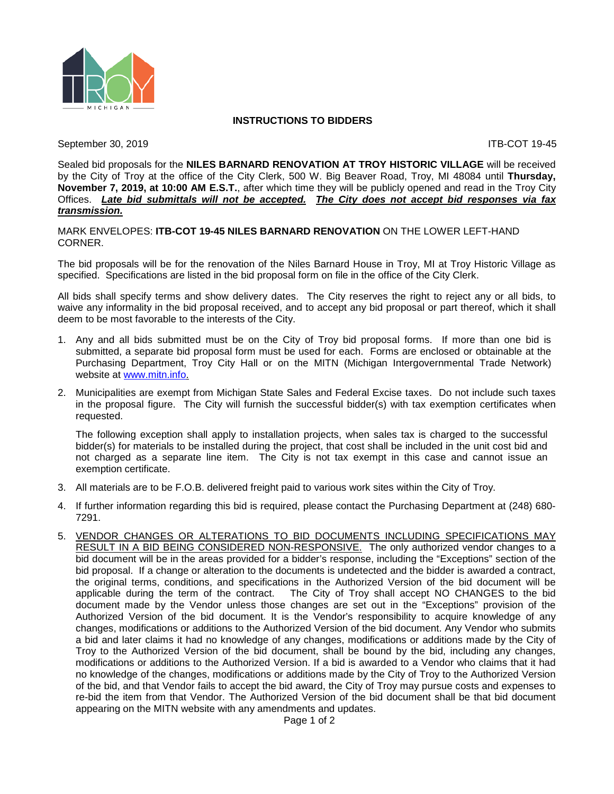

#### **INSTRUCTIONS TO BIDDERS**

September 30, 2019 **ITB-COT** 19-45

Sealed bid proposals for the **NILES BARNARD RENOVATION AT TROY HISTORIC VILLAGE** will be received by the City of Troy at the office of the City Clerk, 500 W. Big Beaver Road, Troy, MI 48084 until **Thursday, November 7, 2019, at 10:00 AM E.S.T.**, after which time they will be publicly opened and read in the Troy City Offices. *Late bid submittals will not be accepted. The City does not accept bid responses via fax transmission.*

MARK ENVELOPES: **ITB-COT 19-45 NILES BARNARD RENOVATION** ON THE LOWER LEFT-HAND CORNER.

The bid proposals will be for the renovation of the Niles Barnard House in Troy, MI at Troy Historic Village as specified. Specifications are listed in the bid proposal form on file in the office of the City Clerk.

All bids shall specify terms and show delivery dates. The City reserves the right to reject any or all bids, to waive any informality in the bid proposal received, and to accept any bid proposal or part thereof, which it shall deem to be most favorable to the interests of the City.

- 1. Any and all bids submitted must be on the City of Troy bid proposal forms. If more than one bid is submitted, a separate bid proposal form must be used for each. Forms are enclosed or obtainable at the Purchasing Department, Troy City Hall or on the MITN (Michigan Intergovernmental Trade Network) website at [www.mitn.info.](http://www.govbids.com/)
- 2. Municipalities are exempt from Michigan State Sales and Federal Excise taxes. Do not include such taxes in the proposal figure. The City will furnish the successful bidder(s) with tax exemption certificates when requested.

The following exception shall apply to installation projects, when sales tax is charged to the successful bidder(s) for materials to be installed during the project, that cost shall be included in the unit cost bid and not charged as a separate line item. The City is not tax exempt in this case and cannot issue an exemption certificate.

- 3. All materials are to be F.O.B. delivered freight paid to various work sites within the City of Troy.
- 4. If further information regarding this bid is required, please contact the Purchasing Department at (248) 680- 7291.
- 5. VENDOR CHANGES OR ALTERATIONS TO BID DOCUMENTS INCLUDING SPECIFICATIONS MAY RESULT IN A BID BEING CONSIDERED NON-RESPONSIVE. The only authorized vendor changes to a bid document will be in the areas provided for a bidder's response, including the "Exceptions" section of the bid proposal. If a change or alteration to the documents is undetected and the bidder is awarded a contract, the original terms, conditions, and specifications in the Authorized Version of the bid document will be applicable during the term of the contract. The City of Troy shall accept NO CHANGES to the bid document made by the Vendor unless those changes are set out in the "Exceptions" provision of the Authorized Version of the bid document. It is the Vendor's responsibility to acquire knowledge of any changes, modifications or additions to the Authorized Version of the bid document. Any Vendor who submits a bid and later claims it had no knowledge of any changes, modifications or additions made by the City of Troy to the Authorized Version of the bid document, shall be bound by the bid, including any changes, modifications or additions to the Authorized Version. If a bid is awarded to a Vendor who claims that it had no knowledge of the changes, modifications or additions made by the City of Troy to the Authorized Version of the bid, and that Vendor fails to accept the bid award, the City of Troy may pursue costs and expenses to re-bid the item from that Vendor. The Authorized Version of the bid document shall be that bid document appearing on the MITN website with any amendments and updates.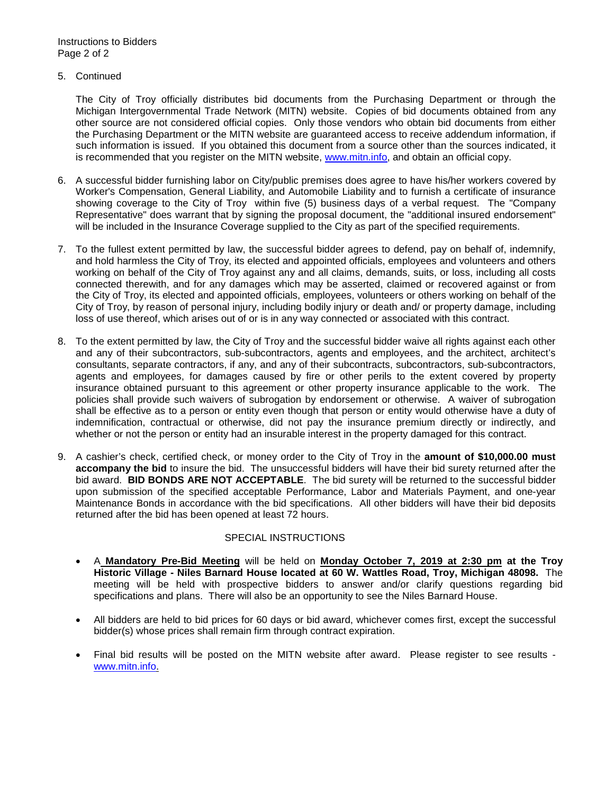5. Continued

The City of Troy officially distributes bid documents from the Purchasing Department or through the Michigan Intergovernmental Trade Network (MITN) website. Copies of bid documents obtained from any other source are not considered official copies. Only those vendors who obtain bid documents from either the Purchasing Department or the MITN website are guaranteed access to receive addendum information, if such information is issued. If you obtained this document from a source other than the sources indicated, it is recommended that you register on the MITN website, [www.mitn.info,](http://www.govbids.com/) and obtain an official copy.

- 6. A successful bidder furnishing labor on City/public premises does agree to have his/her workers covered by Worker's Compensation, General Liability, and Automobile Liability and to furnish a certificate of insurance showing coverage to the City of Troy within five (5) business days of a verbal request. The "Company Representative" does warrant that by signing the proposal document, the "additional insured endorsement" will be included in the Insurance Coverage supplied to the City as part of the specified requirements.
- 7. To the fullest extent permitted by law, the successful bidder agrees to defend, pay on behalf of, indemnify, and hold harmless the City of Troy, its elected and appointed officials, employees and volunteers and others working on behalf of the City of Troy against any and all claims, demands, suits, or loss, including all costs connected therewith, and for any damages which may be asserted, claimed or recovered against or from the City of Troy, its elected and appointed officials, employees, volunteers or others working on behalf of the City of Troy, by reason of personal injury, including bodily injury or death and/ or property damage, including loss of use thereof, which arises out of or is in any way connected or associated with this contract.
- 8. To the extent permitted by law, the City of Troy and the successful bidder waive all rights against each other and any of their subcontractors, sub-subcontractors, agents and employees, and the architect, architect's consultants, separate contractors, if any, and any of their subcontracts, subcontractors, sub-subcontractors, agents and employees, for damages caused by fire or other perils to the extent covered by property insurance obtained pursuant to this agreement or other property insurance applicable to the work. The policies shall provide such waivers of subrogation by endorsement or otherwise. A waiver of subrogation shall be effective as to a person or entity even though that person or entity would otherwise have a duty of indemnification, contractual or otherwise, did not pay the insurance premium directly or indirectly, and whether or not the person or entity had an insurable interest in the property damaged for this contract.
- 9. A cashier's check, certified check, or money order to the City of Troy in the **amount of \$10,000.00 must accompany the bid** to insure the bid. The unsuccessful bidders will have their bid surety returned after the bid award. **BID BONDS ARE NOT ACCEPTABLE**. The bid surety will be returned to the successful bidder upon submission of the specified acceptable Performance, Labor and Materials Payment, and one-year Maintenance Bonds in accordance with the bid specifications. All other bidders will have their bid deposits returned after the bid has been opened at least 72 hours.

#### SPECIAL INSTRUCTIONS

- A **Mandatory Pre-Bid Meeting** will be held on **Monday October 7, 2019 at 2:30 pm at the Troy Historic Village - Niles Barnard House located at 60 W. Wattles Road, Troy, Michigan 48098.** The meeting will be held with prospective bidders to answer and/or clarify questions regarding bid specifications and plans. There will also be an opportunity to see the Niles Barnard House.
- All bidders are held to bid prices for 60 days or bid award, whichever comes first, except the successful bidder(s) whose prices shall remain firm through contract expiration.
- Final bid results will be posted on the MITN website after award. Please register to see results [www.mitn.info.](http://www.mitn.info/)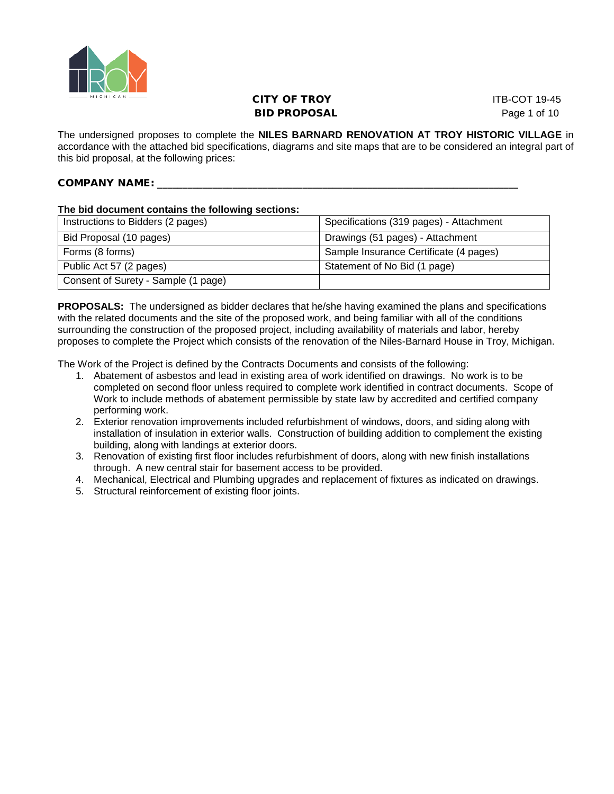

## **CITY OF TROY ITB-COT 19-45** BID PROPOSAL Page 1 of 10

The undersigned proposes to complete the **NILES BARNARD RENOVATION AT TROY HISTORIC VILLAGE** in accordance with the attached bid specifications, diagrams and site maps that are to be considered an integral part of this bid proposal, at the following prices:

#### COMPANY NAME: \_\_\_\_\_\_\_\_\_\_\_\_\_\_\_\_\_\_\_\_\_\_\_\_\_\_\_\_\_\_\_\_\_\_\_\_\_\_\_\_\_\_\_\_\_\_\_\_\_\_\_\_\_\_\_\_\_\_\_\_\_\_\_\_\_\_\_\_\_\_\_\_

#### **The bid document contains the following sections:**

| Instructions to Bidders (2 pages)   | Specifications (319 pages) - Attachment |
|-------------------------------------|-----------------------------------------|
| Bid Proposal (10 pages)             | Drawings (51 pages) - Attachment        |
| Forms (8 forms)                     | Sample Insurance Certificate (4 pages)  |
| Public Act 57 (2 pages)             | Statement of No Bid (1 page)            |
| Consent of Surety - Sample (1 page) |                                         |

**PROPOSALS:** The undersigned as bidder declares that he/she having examined the plans and specifications with the related documents and the site of the proposed work, and being familiar with all of the conditions surrounding the construction of the proposed project, including availability of materials and labor, hereby proposes to complete the Project which consists of the renovation of the Niles-Barnard House in Troy, Michigan.

The Work of the Project is defined by the Contracts Documents and consists of the following:

- 1. Abatement of asbestos and lead in existing area of work identified on drawings. No work is to be completed on second floor unless required to complete work identified in contract documents. Scope of Work to include methods of abatement permissible by state law by accredited and certified company performing work.
- 2. Exterior renovation improvements included refurbishment of windows, doors, and siding along with installation of insulation in exterior walls. Construction of building addition to complement the existing building, along with landings at exterior doors.
- 3. Renovation of existing first floor includes refurbishment of doors, along with new finish installations through. A new central stair for basement access to be provided.
- 4. Mechanical, Electrical and Plumbing upgrades and replacement of fixtures as indicated on drawings.
- 5. Structural reinforcement of existing floor joints.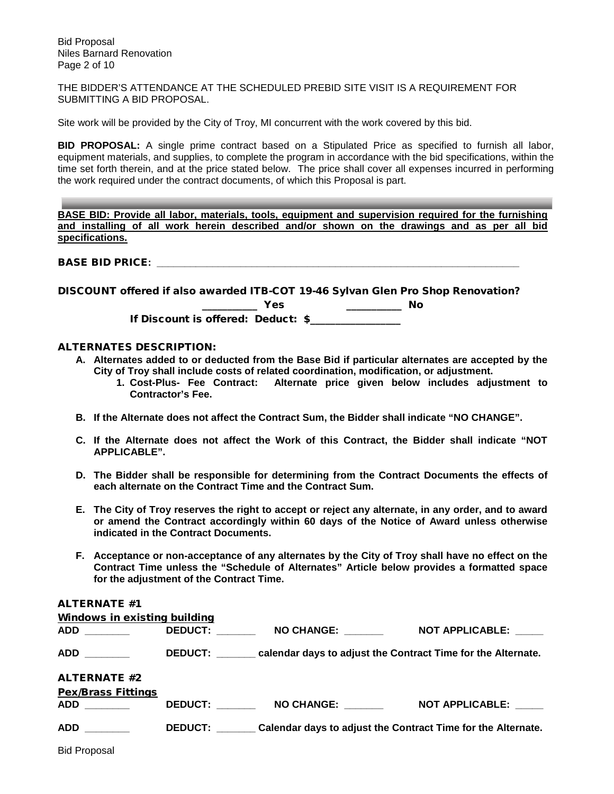Bid Proposal Niles Barnard Renovation Page 2 of 10

THE BIDDER'S ATTENDANCE AT THE SCHEDULED PREBID SITE VISIT IS A REQUIREMENT FOR SUBMITTING A BID PROPOSAL.

Site work will be provided by the City of Troy, MI concurrent with the work covered by this bid.

**BID PROPOSAL:** A single prime contract based on a Stipulated Price as specified to furnish all labor, equipment materials, and supplies, to complete the program in accordance with the bid specifications, within the time set forth therein, and at the price stated below. The price shall cover all expenses incurred in performing the work required under the contract documents, of which this Proposal is part.

**BASE BID: Provide all labor, materials, tools, equipment and supervision required for the furnishing and installing of all work herein described and/or shown on the drawings and as per all bid specifications.**

BASE BID PRICE: **with a set of the set of the set of the set of the set of the set of the set of the set of the set of the set of the set of the set of the set of the set of the set of the set of the set of the set of the** 

DISCOUNT offered if also awarded ITB-COT 19-46 Sylvan Glen Pro Shop Renovation? \_\_\_\_\_\_\_\_\_\_\_\_\_\_\_ No

|  | $\bullet$        |
|--|------------------|
|  | $\sim$<br>$\sim$ |
|  |                  |
|  |                  |

If Discount is offered: Deduct: \$\_\_\_\_\_\_\_\_\_\_\_\_\_\_\_\_\_\_

#### ALTERNATES DESCRIPTION:

- **A. Alternates added to or deducted from the Base Bid if particular alternates are accepted by the City of Troy shall include costs of related coordination, modification, or adjustment.**
	- **1. Cost-Plus- Fee Contract: Alternate price given below includes adjustment to Contractor's Fee.**
- **B. If the Alternate does not affect the Contract Sum, the Bidder shall indicate "NO CHANGE".**
- **C. If the Alternate does not affect the Work of this Contract, the Bidder shall indicate "NOT APPLICABLE".**
- **D. The Bidder shall be responsible for determining from the Contract Documents the effects of each alternate on the Contract Time and the Contract Sum.**
- **E. The City of Troy reserves the right to accept or reject any alternate, in any order, and to award or amend the Contract accordingly within 60 days of the Notice of Award unless otherwise indicated in the Contract Documents.**
- **F. Acceptance or non-acceptance of any alternates by the City of Troy shall have no effect on the Contract Time unless the "Schedule of Alternates" Article below provides a formatted space for the adjustment of the Contract Time.**

#### ALTERNATE #1

| <b>Windows in existing building</b> |                |                                                                               |                        |
|-------------------------------------|----------------|-------------------------------------------------------------------------------|------------------------|
| ADD <b>ADD</b>                      | <b>DEDUCT:</b> | <b>NO CHANGE:</b>                                                             | <b>NOT APPLICABLE:</b> |
|                                     |                | DEDUCT: ________ calendar days to adjust the Contract Time for the Alternate. |                        |
| <b>ALTERNATE #2</b>                 |                |                                                                               |                        |
| <b>Pex/Brass Fittings</b>           |                |                                                                               |                        |
| <b>ADD</b>                          | <b>DEDUCT:</b> | <b>NO CHANGE:</b>                                                             | <b>NOT APPLICABLE:</b> |
|                                     |                | DEDUCT: Calendar days to adjust the Contract Time for the Alternate.          |                        |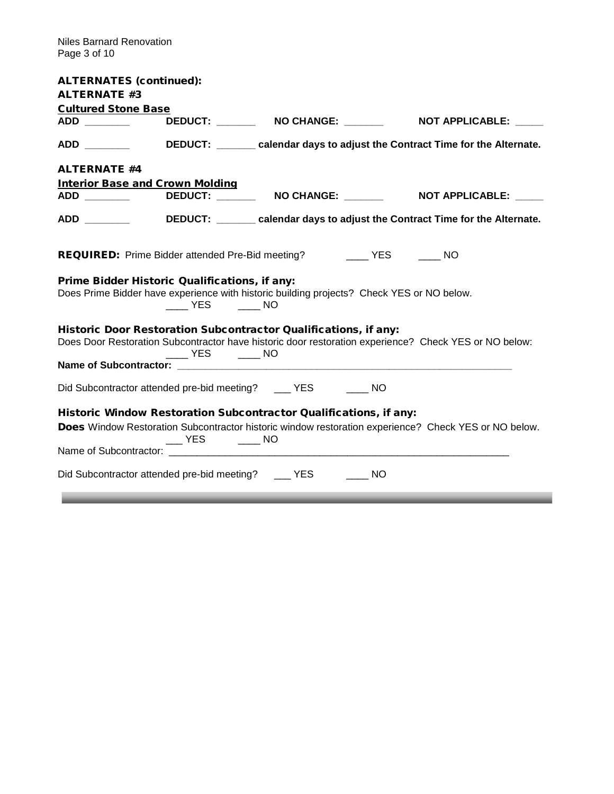\_\_\_

| <b>ALTERNATES (continued):</b>                |                                                  |                                                                                                                                                                          |  |
|-----------------------------------------------|--------------------------------------------------|--------------------------------------------------------------------------------------------------------------------------------------------------------------------------|--|
| <b>ALTERNATE #3</b>                           |                                                  |                                                                                                                                                                          |  |
| <b>Cultured Stone Base</b>                    |                                                  |                                                                                                                                                                          |  |
|                                               |                                                  | ADD _________   DEDUCT: _______  NO CHANGE: ________   NOT APPLICABLE: _____                                                                                             |  |
|                                               |                                                  | ADD _________________DEDUCT: __________ calendar days to adjust the Contract Time for the Alternate.                                                                     |  |
| <b>ALTERNATE #4</b>                           |                                                  |                                                                                                                                                                          |  |
| <b>Interior Base and Crown Molding</b>        |                                                  |                                                                                                                                                                          |  |
|                                               |                                                  | DEDUCT: ________  NO CHANGE: ________    NOT APPLICABLE: _____                                                                                                           |  |
|                                               |                                                  | ADD _________________DEDUCT: __________ calendar days to adjust the Contract Time for the Alternate.                                                                     |  |
|                                               |                                                  | <b>REQUIRED:</b> Prime Bidder attended Pre-Bid meeting? _______ YES ______ NO                                                                                            |  |
| Prime Bidder Historic Qualifications, if any: | YES NO                                           | Does Prime Bidder have experience with historic building projects? Check YES or NO below.                                                                                |  |
|                                               |                                                  | Historic Door Restoration Subcontractor Qualifications, if any:<br>Does Door Restoration Subcontractor have historic door restoration experience? Check YES or NO below: |  |
|                                               | $\rule{1em}{0.15mm}$ YES $\rule{1em}{0.15mm}$ NO |                                                                                                                                                                          |  |
|                                               |                                                  |                                                                                                                                                                          |  |
|                                               |                                                  | Did Subcontractor attended pre-bid meeting? _____ YES _______ NO                                                                                                         |  |
|                                               |                                                  | Historic Window Restoration Subcontractor Qualifications, if any:                                                                                                        |  |
|                                               | $\rule{1em}{0.15mm}$ YES $\rule{1em}{0.15mm}$ NO | Does Window Restoration Subcontractor historic window restoration experience? Check YES or NO below.                                                                     |  |
|                                               |                                                  |                                                                                                                                                                          |  |
|                                               |                                                  | Did Subcontractor attended pre-bid meeting? ____ YES _____ NO                                                                                                            |  |

\_\_\_\_\_\_\_\_\_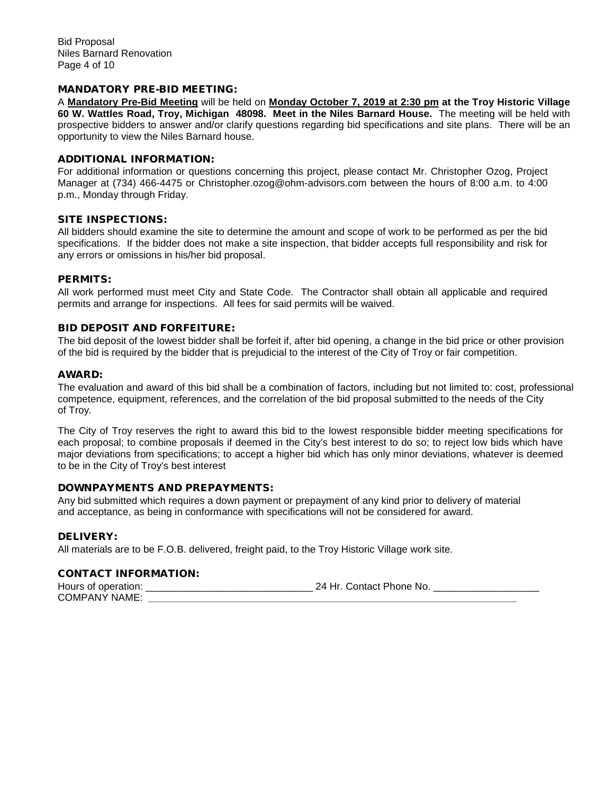#### MANDATORY PRE-BID MEETING:

A **Mandatory Pre-Bid Meeting** will be held on **Monday October 7, 2019 at 2:30 pm at the Troy Historic Village 60 W. Wattles Road, Troy, Michigan 48098. Meet in the Niles Barnard House.** The meeting will be held with prospective bidders to answer and/or clarify questions regarding bid specifications and site plans. There will be an opportunity to view the Niles Barnard house.

#### ADDITIONAL INFORMATION:

For additional information or questions concerning this project, please contact Mr. Christopher Ozog, Project Manager at (734) 466-4475 or Christopher.ozog@ohm-advisors.com between the hours of 8:00 a.m. to 4:00 p.m., Monday through Friday.

#### SITE INSPECTIONS:

All bidders should examine the site to determine the amount and scope of work to be performed as per the bid specifications. If the bidder does not make a site inspection, that bidder accepts full responsibility and risk for any errors or omissions in his/her bid proposal.

#### PERMITS:

All work performed must meet City and State Code. The Contractor shall obtain all applicable and required permits and arrange for inspections. All fees for said permits will be waived.

#### BID DEPOSIT AND FORFEITURE:

The bid deposit of the lowest bidder shall be forfeit if, after bid opening, a change in the bid price or other provision of the bid is required by the bidder that is prejudicial to the interest of the City of Troy or fair competition.

#### AWARD:

The evaluation and award of this bid shall be a combination of factors, including but not limited to: cost, professional competence, equipment, references, and the correlation of the bid proposal submitted to the needs of the City of Troy.

The City of Troy reserves the right to award this bid to the lowest responsible bidder meeting specifications for each proposal; to combine proposals if deemed in the City's best interest to do so; to reject low bids which have major deviations from specifications; to accept a higher bid which has only minor deviations, whatever is deemed to be in the City of Troy's best interest

#### DOWNPAYMENTS AND PREPAYMENTS:

Any bid submitted which requires a down payment or prepayment of any kind prior to delivery of material and acceptance, as being in conformance with specifications will not be considered for award.

#### DELIVERY:

All materials are to be F.O.B. delivered, freight paid, to the Troy Historic Village work site.

#### CONTACT INFORMATION:

Hours of operation:  $24$  Hr. Contact Phone No. COMPANY NAME: **\_\_\_\_\_\_\_\_\_\_\_\_\_\_\_\_\_\_\_\_\_\_\_\_\_\_\_\_\_\_\_\_\_\_\_\_\_\_\_\_\_\_\_\_\_\_\_\_\_\_\_\_\_\_\_\_\_\_\_\_\_\_\_\_\_\_**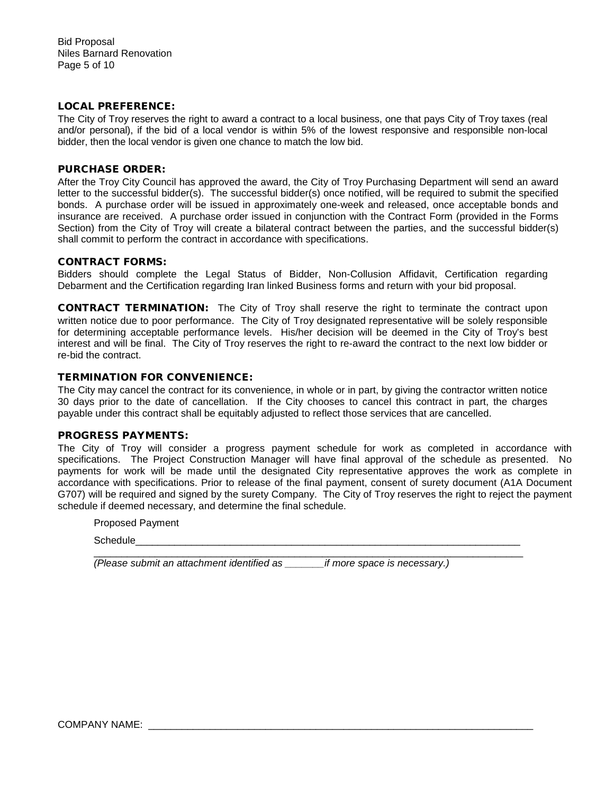#### LOCAL PREFERENCE:

The City of Troy reserves the right to award a contract to a local business, one that pays City of Troy taxes (real and/or personal), if the bid of a local vendor is within 5% of the lowest responsive and responsible non-local bidder, then the local vendor is given one chance to match the low bid.

#### PURCHASE ORDER:

After the Troy City Council has approved the award, the City of Troy Purchasing Department will send an award letter to the successful bidder(s). The successful bidder(s) once notified, will be required to submit the specified bonds. A purchase order will be issued in approximately one-week and released, once acceptable bonds and insurance are received. A purchase order issued in conjunction with the Contract Form (provided in the Forms Section) from the City of Troy will create a bilateral contract between the parties, and the successful bidder(s) shall commit to perform the contract in accordance with specifications.

#### CONTRACT FORMS:

Bidders should complete the Legal Status of Bidder, Non-Collusion Affidavit, Certification regarding Debarment and the Certification regarding Iran linked Business forms and return with your bid proposal.

CONTRACT TERMINATION:The City of Troy shall reserve the right to terminate the contract upon written notice due to poor performance. The City of Troy designated representative will be solely responsible for determining acceptable performance levels. His/her decision will be deemed in the City of Troy's best interest and will be final. The City of Troy reserves the right to re-award the contract to the next low bidder or re-bid the contract.

#### TERMINATION FOR CONVENIENCE:

The City may cancel the contract for its convenience, in whole or in part, by giving the contractor written notice 30 days prior to the date of cancellation. If the City chooses to cancel this contract in part, the charges payable under this contract shall be equitably adjusted to reflect those services that are cancelled.

#### PROGRESS PAYMENTS:

The City of Troy will consider a progress payment schedule for work as completed in accordance with specifications. The Project Construction Manager will have final approval of the schedule as presented. No payments for work will be made until the designated City representative approves the work as complete in accordance with specifications. Prior to release of the final payment, consent of surety document (A1A Document G707) will be required and signed by the surety Company. The City of Troy reserves the right to reject the payment schedule if deemed necessary, and determine the final schedule.

\_\_\_\_\_\_\_\_\_\_\_\_\_\_\_\_\_\_\_\_\_\_\_\_\_\_\_\_\_\_\_\_\_\_\_\_\_\_\_\_\_\_\_\_\_\_\_\_\_\_\_\_\_\_\_\_\_\_\_\_\_\_\_\_\_\_\_\_\_\_\_\_\_\_\_\_\_

Proposed Payment

Schedule\_\_\_\_\_\_\_\_\_\_\_\_\_\_\_\_\_\_\_\_\_\_\_\_\_\_\_\_\_\_\_\_\_\_\_\_\_\_\_\_\_\_\_\_\_\_\_\_\_\_\_\_\_\_\_\_\_\_\_\_\_\_\_\_\_\_\_\_\_

*(Please submit an attachment identified as \_\_\_\_\_\_\_if more space is necessary.)*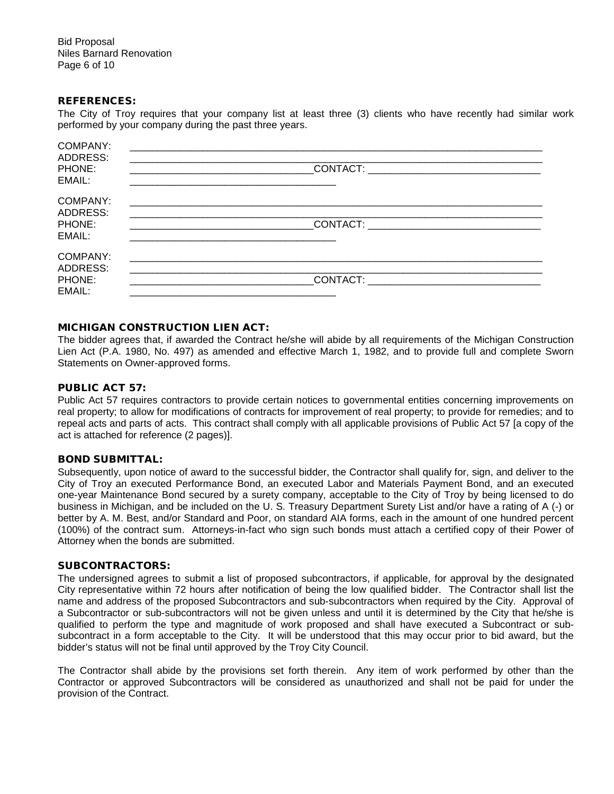Bid Proposal Niles Barnard Renovation Page 6 of 10

#### REFERENCES:

The City of Troy requires that your company list at least three (3) clients who have recently had similar work performed by your company during the past three years.

| <b>COMPANY:</b><br>ADDRESS: |                                                                                                                                                                                                                                     |
|-----------------------------|-------------------------------------------------------------------------------------------------------------------------------------------------------------------------------------------------------------------------------------|
| PHONE:<br>EMAIL:            |                                                                                                                                                                                                                                     |
| COMPANY:<br>ADDRESS:        |                                                                                                                                                                                                                                     |
| PHONE:<br>EMAIL:            | <b>CONTACT:</b> the contract of the contract of the contract of the contract of the contract of the contract of the contract of the contract of the contract of the contract of the contract of the contract of the contract of the |
| COMPANY:<br>ADDRESS:        |                                                                                                                                                                                                                                     |
| PHONE:<br>EMAIL:            | CONTACT: the contract of the contract of the contract of the contract of the contract of the contract of the contract of the contract of the contract of the contract of the contract of the contract of the contract of the c      |

#### MICHIGAN CONSTRUCTION LIEN ACT:

The bidder agrees that, if awarded the Contract he/she will abide by all requirements of the Michigan Construction Lien Act (P.A. 1980, No. 497) as amended and effective March 1, 1982, and to provide full and complete Sworn Statements on Owner-approved forms.

#### PUBLIC ACT 57:

Public Act 57 requires contractors to provide certain notices to governmental entities concerning improvements on real property; to allow for modifications of contracts for improvement of real property; to provide for remedies; and to repeal acts and parts of acts. This contract shall comply with all applicable provisions of Public Act 57 [a copy of the act is attached for reference (2 pages)].

#### BOND SUBMITTAL:

Subsequently, upon notice of award to the successful bidder, the Contractor shall qualify for, sign, and deliver to the City of Troy an executed Performance Bond, an executed Labor and Materials Payment Bond, and an executed one-year Maintenance Bond secured by a surety company, acceptable to the City of Troy by being licensed to do business in Michigan, and be included on the U. S. Treasury Department Surety List and/or have a rating of A (-) or better by A. M. Best, and/or Standard and Poor, on standard AIA forms, each in the amount of one hundred percent (100%) of the contract sum. Attorneys-in-fact who sign such bonds must attach a certified copy of their Power of Attorney when the bonds are submitted.

#### SUBCONTRACTORS:

The undersigned agrees to submit a list of proposed subcontractors, if applicable, for approval by the designated City representative within 72 hours after notification of being the low qualified bidder. The Contractor shall list the name and address of the proposed Subcontractors and sub-subcontractors when required by the City. Approval of a Subcontractor or sub-subcontractors will not be given unless and until it is determined by the City that he/she is qualified to perform the type and magnitude of work proposed and shall have executed a Subcontract or subsubcontract in a form acceptable to the City. It will be understood that this may occur prior to bid award, but the bidder's status will not be final until approved by the Troy City Council.

The Contractor shall abide by the provisions set forth therein. Any item of work performed by other than the Contractor or approved Subcontractors will be considered as unauthorized and shall not be paid for under the provision of the Contract.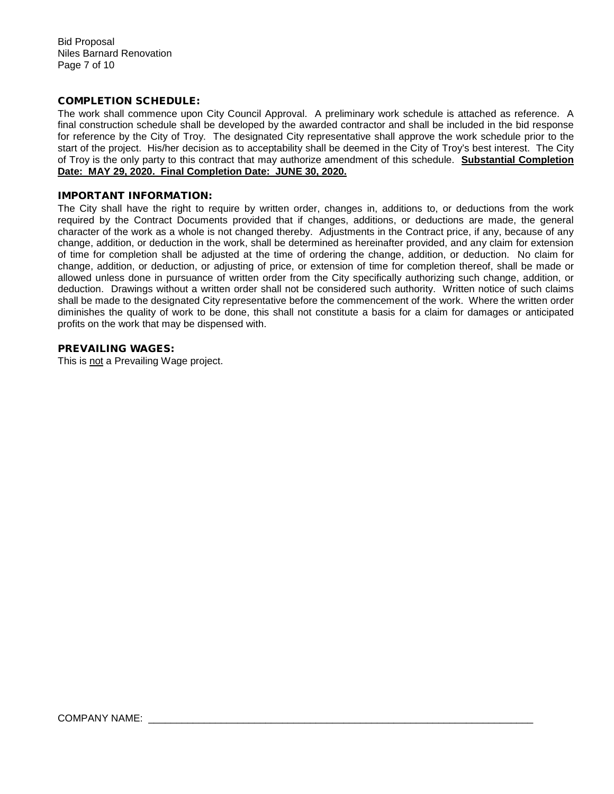Bid Proposal Niles Barnard Renovation Page 7 of 10

#### COMPLETION SCHEDULE:

The work shall commence upon City Council Approval. A preliminary work schedule is attached as reference. A final construction schedule shall be developed by the awarded contractor and shall be included in the bid response for reference by the City of Troy. The designated City representative shall approve the work schedule prior to the start of the project. His/her decision as to acceptability shall be deemed in the City of Troy's best interest. The City of Troy is the only party to this contract that may authorize amendment of this schedule. **Substantial Completion Date: MAY 29, 2020. Final Completion Date: JUNE 30, 2020.**

#### IMPORTANT INFORMATION:

The City shall have the right to require by written order, changes in, additions to, or deductions from the work required by the Contract Documents provided that if changes, additions, or deductions are made, the general character of the work as a whole is not changed thereby. Adjustments in the Contract price, if any, because of any change, addition, or deduction in the work, shall be determined as hereinafter provided, and any claim for extension of time for completion shall be adjusted at the time of ordering the change, addition, or deduction. No claim for change, addition, or deduction, or adjusting of price, or extension of time for completion thereof, shall be made or allowed unless done in pursuance of written order from the City specifically authorizing such change, addition, or deduction. Drawings without a written order shall not be considered such authority. Written notice of such claims shall be made to the designated City representative before the commencement of the work. Where the written order diminishes the quality of work to be done, this shall not constitute a basis for a claim for damages or anticipated profits on the work that may be dispensed with.

#### PREVAILING WAGES:

This is not a Prevailing Wage project.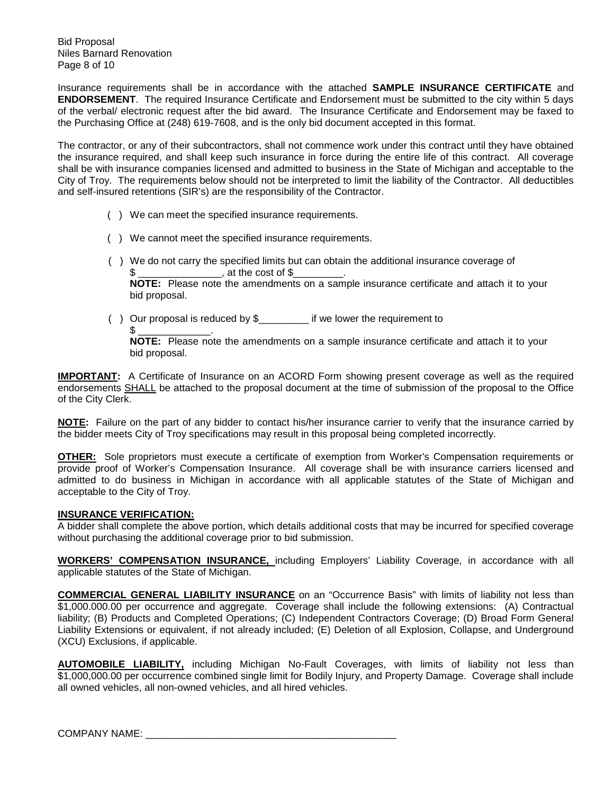Bid Proposal Niles Barnard Renovation Page 8 of 10

Insurance requirements shall be in accordance with the attached **SAMPLE INSURANCE CERTIFICATE** and **ENDORSEMENT**. The required Insurance Certificate and Endorsement must be submitted to the city within 5 days of the verbal/ electronic request after the bid award. The Insurance Certificate and Endorsement may be faxed to the Purchasing Office at (248) 619-7608, and is the only bid document accepted in this format.

The contractor, or any of their subcontractors, shall not commence work under this contract until they have obtained the insurance required, and shall keep such insurance in force during the entire life of this contract. All coverage shall be with insurance companies licensed and admitted to business in the State of Michigan and acceptable to the City of Troy. The requirements below should not be interpreted to limit the liability of the Contractor. All deductibles and self-insured retentions (SIR's) are the responsibility of the Contractor.

- ( ) We can meet the specified insurance requirements.
- ( ) We cannot meet the specified insurance requirements.
- ( ) We do not carry the specified limits but can obtain the additional insurance coverage of
	- , at the cost of  $\$$

 **NOTE:** Please note the amendments on a sample insurance certificate and attach it to your bid proposal.

( ) Our proposal is reduced by \$\_\_\_\_\_\_\_\_\_ if we lower the requirement to  $$\;\underline{\hspace{1.5em}}$$  .

**NOTE:** Please note the amendments on a sample insurance certificate and attach it to your bid proposal.

**IMPORTANT:** A Certificate of Insurance on an ACORD Form showing present coverage as well as the required endorsements SHALL be attached to the proposal document at the time of submission of the proposal to the Office of the City Clerk.

**NOTE:** Failure on the part of any bidder to contact his/her insurance carrier to verify that the insurance carried by the bidder meets City of Troy specifications may result in this proposal being completed incorrectly.

**OTHER:** Sole proprietors must execute a certificate of exemption from Worker's Compensation requirements or provide proof of Worker's Compensation Insurance. All coverage shall be with insurance carriers licensed and admitted to do business in Michigan in accordance with all applicable statutes of the State of Michigan and acceptable to the City of Troy.

#### **INSURANCE VERIFICATION:**

A bidder shall complete the above portion, which details additional costs that may be incurred for specified coverage without purchasing the additional coverage prior to bid submission.

**WORKERS' COMPENSATION INSURANCE,** including Employers' Liability Coverage, in accordance with all applicable statutes of the State of Michigan.

**COMMERCIAL GENERAL LIABILITY INSURANCE** on an "Occurrence Basis" with limits of liability not less than \$1,000.000.00 per occurrence and aggregate. Coverage shall include the following extensions: (A) Contractual liability; (B) Products and Completed Operations; (C) Independent Contractors Coverage; (D) Broad Form General Liability Extensions or equivalent, if not already included; (E) Deletion of all Explosion, Collapse, and Underground (XCU) Exclusions, if applicable.

**AUTOMOBILE LIABILITY,** including Michigan No-Fault Coverages, with limits of liability not less than \$1,000,000.00 per occurrence combined single limit for Bodily Injury, and Property Damage. Coverage shall include all owned vehicles, all non-owned vehicles, and all hired vehicles.

COMPANY NAME: \_\_\_\_\_\_\_\_\_\_\_\_\_\_\_\_\_\_\_\_\_\_\_\_\_\_\_\_\_\_\_\_\_\_\_\_\_\_\_\_\_\_\_\_\_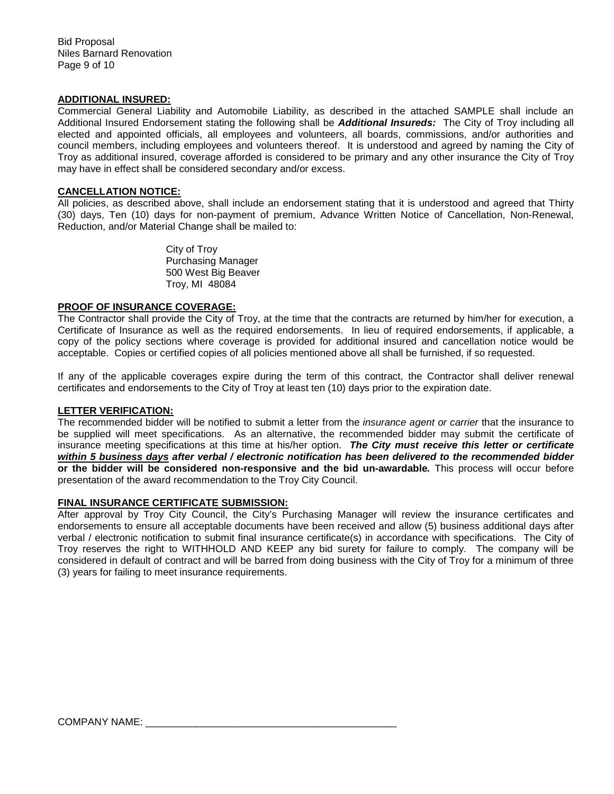#### **ADDITIONAL INSURED:**

Commercial General Liability and Automobile Liability, as described in the attached SAMPLE shall include an Additional Insured Endorsement stating the following shall be *Additional Insureds:* The City of Troy including all elected and appointed officials, all employees and volunteers, all boards, commissions, and/or authorities and council members, including employees and volunteers thereof. It is understood and agreed by naming the City of Troy as additional insured, coverage afforded is considered to be primary and any other insurance the City of Troy may have in effect shall be considered secondary and/or excess.

#### **CANCELLATION NOTICE:**

All policies, as described above, shall include an endorsement stating that it is understood and agreed that Thirty (30) days, Ten (10) days for non-payment of premium, Advance Written Notice of Cancellation, Non-Renewal, Reduction, and/or Material Change shall be mailed to:

> City of Troy Purchasing Manager 500 West Big Beaver Troy, MI 48084

#### **PROOF OF INSURANCE COVERAGE:**

The Contractor shall provide the City of Troy, at the time that the contracts are returned by him/her for execution, a Certificate of Insurance as well as the required endorsements. In lieu of required endorsements, if applicable, a copy of the policy sections where coverage is provided for additional insured and cancellation notice would be acceptable. Copies or certified copies of all policies mentioned above all shall be furnished, if so requested.

If any of the applicable coverages expire during the term of this contract, the Contractor shall deliver renewal certificates and endorsements to the City of Troy at least ten (10) days prior to the expiration date.

#### **LETTER VERIFICATION:**

The recommended bidder will be notified to submit a letter from the *insurance agent or carrier* that the insurance to be supplied will meet specifications. As an alternative, the recommended bidder may submit the certificate of insurance meeting specifications at this time at his/her option. *The City must receive this letter or certificate within 5 business days after verbal / electronic notification has been delivered to the recommended bidder*  **or the bidder will be considered non-responsive and the bid un-awardable***.* This process will occur before presentation of the award recommendation to the Troy City Council.

#### **FINAL INSURANCE CERTIFICATE SUBMISSION:**

After approval by Troy City Council, the City's Purchasing Manager will review the insurance certificates and endorsements to ensure all acceptable documents have been received and allow (5) business additional days after verbal / electronic notification to submit final insurance certificate(s) in accordance with specifications. The City of Troy reserves the right to WITHHOLD AND KEEP any bid surety for failure to comply. The company will be considered in default of contract and will be barred from doing business with the City of Troy for a minimum of three (3) years for failing to meet insurance requirements.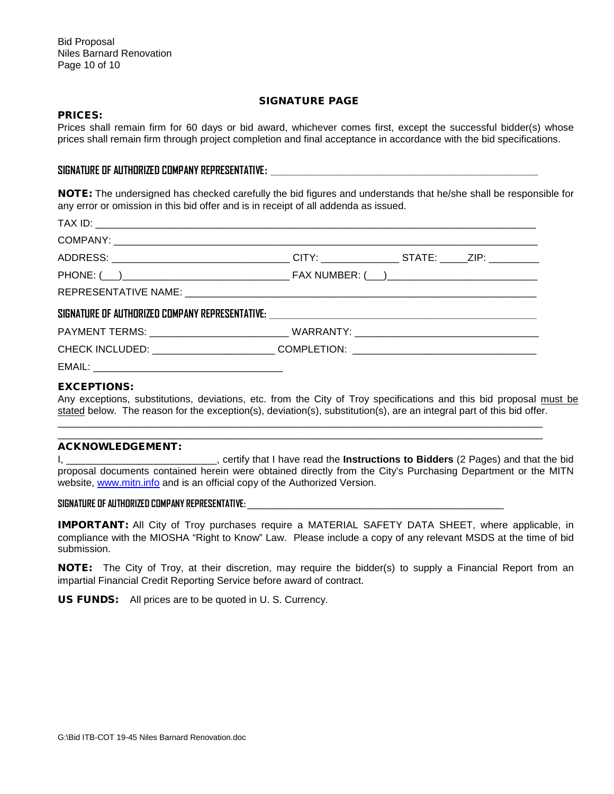#### SIGNATURE PAGE

#### PRICES:

Prices shall remain firm for 60 days or bid award, whichever comes first, except the successful bidder(s) whose prices shall remain firm through project completion and final acceptance in accordance with the bid specifications.

#### **SIGNATURE OF AUTHORIZED COMPANY REPRESENTATIVE: \_\_\_\_\_\_\_\_\_\_\_\_\_\_\_\_\_\_\_\_\_\_\_\_\_\_\_\_\_\_\_\_\_\_\_\_\_\_\_\_\_\_\_\_\_\_\_\_**

NOTE: The undersigned has checked carefully the bid figures and understands that he/she shall be responsible for any error or omission in this bid offer and is in receipt of all addenda as issued.

| ADDRESS: _________________________________CITY: _______________STATE: _____ZIP: __________                                                                                                                                     |  |  |
|--------------------------------------------------------------------------------------------------------------------------------------------------------------------------------------------------------------------------------|--|--|
|                                                                                                                                                                                                                                |  |  |
|                                                                                                                                                                                                                                |  |  |
|                                                                                                                                                                                                                                |  |  |
|                                                                                                                                                                                                                                |  |  |
| CHECK INCLUDED: _______________________COMPLETION: _____________________________                                                                                                                                               |  |  |
| EMAIL: The contract of the contract of the contract of the contract of the contract of the contract of the contract of the contract of the contract of the contract of the contract of the contract of the contract of the con |  |  |

#### EXCEPTIONS:

Any exceptions, substitutions, deviations, etc. from the City of Troy specifications and this bid proposal must be stated below. The reason for the exception(s), deviation(s), substitution(s), are an integral part of this bid offer.

\_\_\_\_\_\_\_\_\_\_\_\_\_\_\_\_\_\_\_\_\_\_\_\_\_\_\_\_\_\_\_\_\_\_\_\_\_\_\_\_\_\_\_\_\_\_\_\_\_\_\_\_\_\_\_\_\_\_\_\_\_\_\_\_\_\_\_\_\_\_\_\_\_\_\_\_\_\_\_\_\_\_\_\_\_\_\_ \_\_\_\_\_\_\_\_\_\_\_\_\_\_\_\_\_\_\_\_\_\_\_\_\_\_\_\_\_\_\_\_\_\_\_\_\_\_\_\_\_\_\_\_\_\_\_\_\_\_\_\_\_\_\_\_\_\_\_\_\_\_\_\_\_\_\_\_\_\_\_\_\_\_\_\_\_\_\_\_\_\_\_\_\_\_\_

#### ACKNOWLEDGEMENT:

I, \_\_\_\_\_\_\_\_\_\_\_\_\_\_\_\_\_\_\_\_\_\_\_\_\_\_\_, certify that I have read the **Instructions to Bidders** (2 Pages) and that the bid proposal documents contained herein were obtained directly from the City's Purchasing Department or the MITN website, [www.mitn.info](http://www.govbids.com/) and is an official copy of the Authorized Version.

#### **SIGNATURE OF AUTHORIZED COMPANY REPRESENTATIVE:** \_\_\_\_\_\_\_\_\_\_\_\_\_\_\_\_\_\_\_\_\_\_\_\_\_\_\_\_\_\_\_\_\_\_\_\_\_\_\_\_\_\_\_\_\_\_

IMPORTANT: All City of Troy purchases require a MATERIAL SAFETY DATA SHEET, where applicable, in compliance with the MIOSHA "Right to Know" Law. Please include a copy of any relevant MSDS at the time of bid submission.

NOTE: The City of Troy, at their discretion, may require the bidder(s) to supply a Financial Report from an impartial Financial Credit Reporting Service before award of contract.

US FUNDS: All prices are to be quoted in U. S. Currency.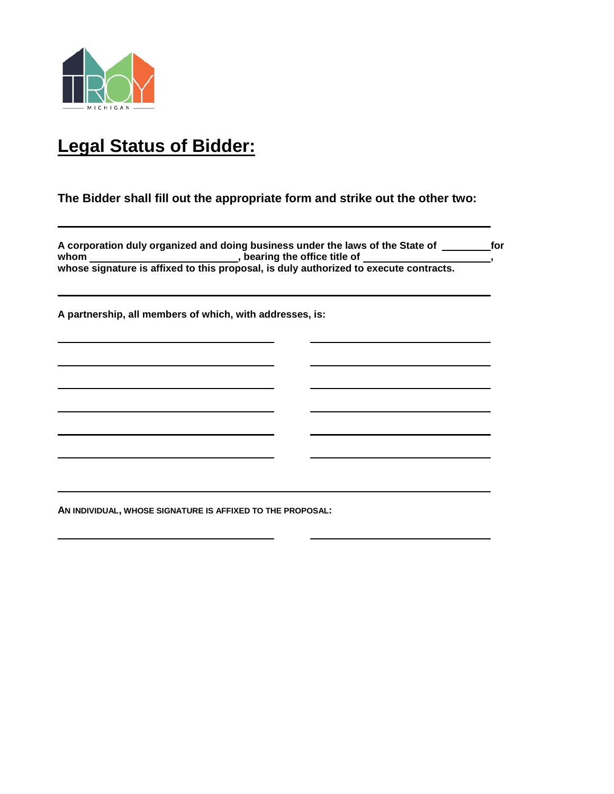

# **Legal Status of Bidder:**

## **The Bidder shall fill out the appropriate form and strike out the other two:**

A corporation duly organized and doing business under the laws of the State of **Fig. 20. 13. In the State of State 1** whom \_\_\_\_\_\_\_\_\_\_\_\_\_\_\_\_\_\_\_\_\_\_\_\_\_\_\_\_, bearing the office title of \_\_\_\_\_\_\_\_\_\_\_\_\_\_\_\_\_\_, whose signature is affixed to this proposal, is duly authorized to execute contracts.

**A partnership, all members of which, with addresses, is:**

<u> 1989 - Johann Barn, mars ann an t-Amhain ann an t-Amhain an t-Amhain an t-Amhain an t-Amhain an t-Amhain an t-</u>

**AN INDIVIDUAL, WHOSE SIGNATURE IS AFFIXED TO THE PROPOSAL:**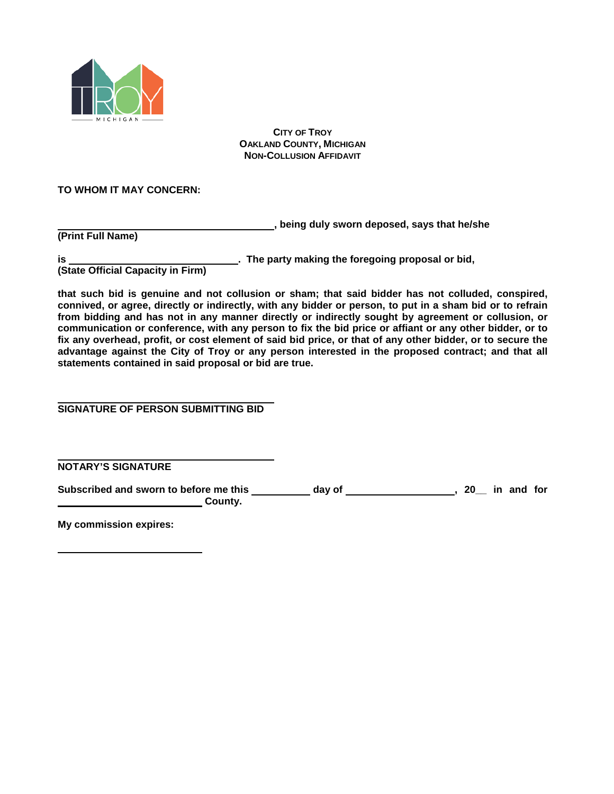

#### **CITY OF TROY OAKLAND COUNTY, MICHIGAN NON-COLLUSION AFFIDAVIT**

## **TO WHOM IT MAY CONCERN:**

**, being duly sworn deposed, says that he/she**

**(Print Full Name)**

**is . The party making the foregoing proposal or bid,**

**(State Official Capacity in Firm)**

**that such bid is genuine and not collusion or sham; that said bidder has not colluded, conspired, connived, or agree, directly or indirectly, with any bidder or person, to put in a sham bid or to refrain from bidding and has not in any manner directly or indirectly sought by agreement or collusion, or communication or conference, with any person to fix the bid price or affiant or any other bidder, or to fix any overhead, profit, or cost element of said bid price, or that of any other bidder, or to secure the advantage against the City of Troy or any person interested in the proposed contract; and that all statements contained in said proposal or bid are true.**

**SIGNATURE OF PERSON SUBMITTING BID**

**NOTARY'S SIGNATURE**

Subscribed and sworn to before me this \_\_\_\_\_\_\_\_\_\_ day of \_\_\_\_\_\_\_\_\_\_\_\_\_\_\_\_\_\_, 20\_ in and for **County.** County.

**My commission expires:**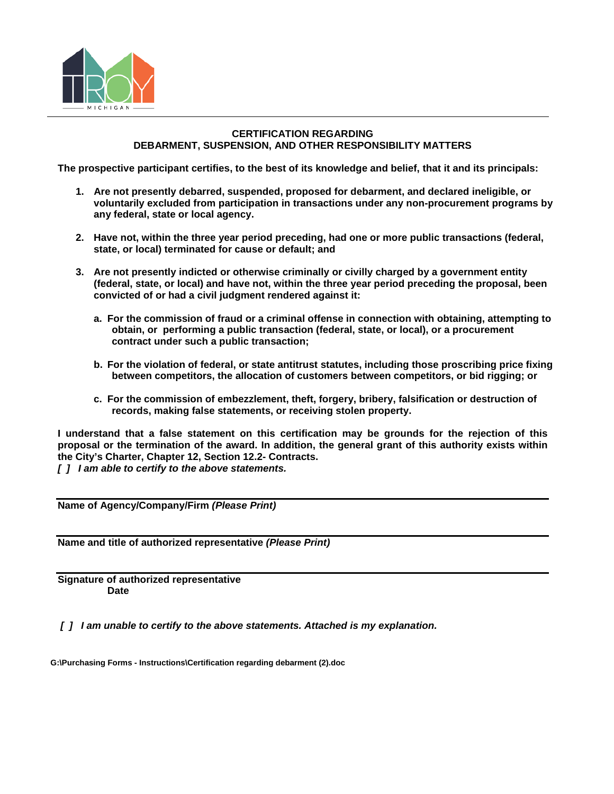

#### **CERTIFICATION REGARDING DEBARMENT, SUSPENSION, AND OTHER RESPONSIBILITY MATTERS**

**The prospective participant certifies, to the best of its knowledge and belief, that it and its principals:** 

- **1. Are not presently debarred, suspended, proposed for debarment, and declared ineligible, or voluntarily excluded from participation in transactions under any non-procurement programs by any federal, state or local agency.**
- **2. Have not, within the three year period preceding, had one or more public transactions (federal, state, or local) terminated for cause or default; and**
- **3. Are not presently indicted or otherwise criminally or civilly charged by a government entity (federal, state, or local) and have not, within the three year period preceding the proposal, been convicted of or had a civil judgment rendered against it:**
	- **a. For the commission of fraud or a criminal offense in connection with obtaining, attempting to obtain, or performing a public transaction (federal, state, or local), or a procurement contract under such a public transaction;**
	- **b. For the violation of federal, or state antitrust statutes, including those proscribing price fixing between competitors, the allocation of customers between competitors, or bid rigging; or**
	- **c. For the commission of embezzlement, theft, forgery, bribery, falsification or destruction of records, making false statements, or receiving stolen property.**

**I understand that a false statement on this certification may be grounds for the rejection of this proposal or the termination of the award. In addition, the general grant of this authority exists within the City's Charter, Chapter 12, Section 12.2- Contracts.**

*[ ] I am able to certify to the above statements.*

**Name of Agency/Company/Firm** *(Please Print)*

**Name and title of authorized representative** *(Please Print)*

**Signature of authorized representative Date**

*[ ] I am unable to certify to the above statements. Attached is my explanation.*

**G:\Purchasing Forms - Instructions\Certification regarding debarment (2).doc**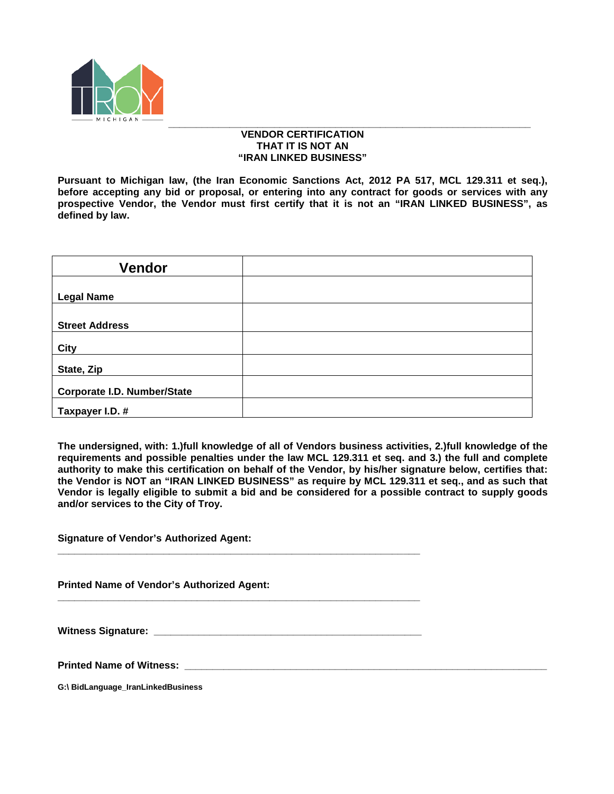

#### *\_\_\_\_\_\_\_\_\_\_\_\_\_\_\_\_\_\_\_\_\_\_\_\_\_\_\_\_\_\_\_\_\_\_\_\_\_\_\_\_\_\_\_\_\_\_\_\_\_\_\_\_\_\_\_\_\_\_\_\_\_\_\_\_\_* **VENDOR CERTIFICATION THAT IT IS NOT AN "IRAN LINKED BUSINESS"**

**Pursuant to Michigan law, (the Iran Economic Sanctions Act, 2012 PA 517, MCL 129.311 et seq.), before accepting any bid or proposal, or entering into any contract for goods or services with any prospective Vendor, the Vendor must first certify that it is not an "IRAN LINKED BUSINESS", as defined by law.**

| <b>Vendor</b>                      |  |
|------------------------------------|--|
|                                    |  |
| <b>Legal Name</b>                  |  |
|                                    |  |
| <b>Street Address</b>              |  |
| City                               |  |
| State, Zip                         |  |
| <b>Corporate I.D. Number/State</b> |  |
| Taxpayer I.D. #                    |  |

**The undersigned, with: 1.)full knowledge of all of Vendors business activities, 2.)full knowledge of the requirements and possible penalties under the law MCL 129.311 et seq. and 3.) the full and complete authority to make this certification on behalf of the Vendor, by his/her signature below, certifies that: the Vendor is NOT an "IRAN LINKED BUSINESS" as require by MCL 129.311 et seq., and as such that Vendor is legally eligible to submit a bid and be considered for a possible contract to supply goods and/or services to the City of Troy.**

**Signature of Vendor's Authorized Agent:** 

**Printed Name of Vendor's Authorized Agent:** 

Witness Signature:

**\_\_\_\_\_\_\_\_\_\_\_\_\_\_\_\_\_\_\_\_\_\_\_\_\_\_\_\_\_\_\_\_\_\_\_\_\_\_\_\_\_\_\_\_\_\_\_\_\_\_\_\_\_\_\_\_\_\_\_\_\_\_\_\_\_**

**\_\_\_\_\_\_\_\_\_\_\_\_\_\_\_\_\_\_\_\_\_\_\_\_\_\_\_\_\_\_\_\_\_\_\_\_\_\_\_\_\_\_\_\_\_\_\_\_\_\_\_\_\_\_\_\_\_\_\_\_\_\_\_\_\_**

**Printed Name of Witness: \_\_\_\_\_\_\_\_\_\_\_\_\_\_\_\_\_\_\_\_\_\_\_\_\_\_\_\_\_\_\_\_\_\_\_\_\_\_\_\_\_\_\_\_\_\_\_\_\_\_\_\_\_\_\_\_\_\_\_\_\_\_\_\_\_**

**G:\ BidLanguage\_IranLinkedBusiness**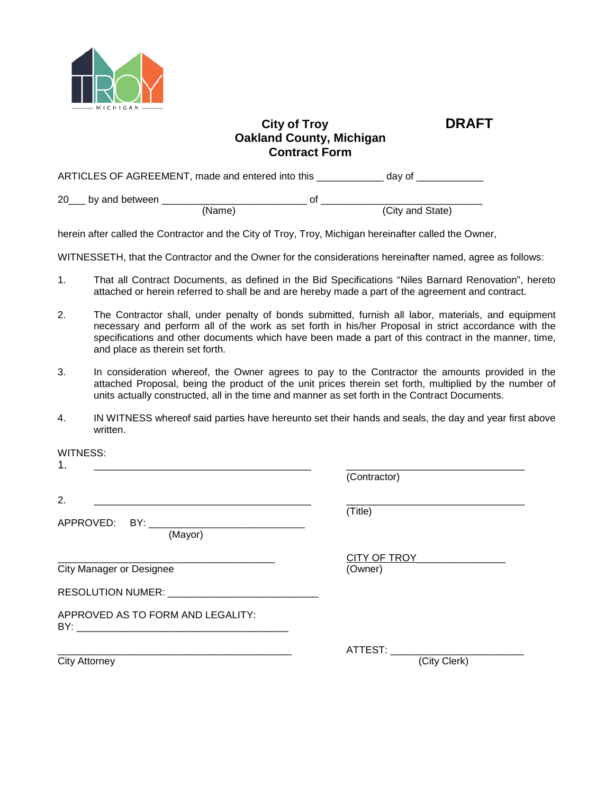

# **City of Troy DRAFT Oakland County, Michigan Contract Form**

ARTICLES OF AGREEMENT, made and entered into this \_\_\_\_\_\_\_\_\_\_\_\_ day of \_\_\_\_\_\_\_\_\_\_

20\_\_\_ by and between \_\_\_\_\_\_\_\_\_\_\_\_\_\_\_\_\_\_\_\_\_\_\_\_\_\_ of \_\_\_\_\_\_\_\_\_\_\_\_\_\_\_\_\_\_\_\_\_\_\_\_\_\_\_\_\_ (Name) (City and State)

herein after called the Contractor and the City of Troy, Troy, Michigan hereinafter called the Owner,

WITNESSETH, that the Contractor and the Owner for the considerations hereinafter named, agree as follows:

- 1. That all Contract Documents, as defined in the Bid Specifications "Niles Barnard Renovation", hereto attached or herein referred to shall be and are hereby made a part of the agreement and contract.
- 2. The Contractor shall, under penalty of bonds submitted, furnish all labor, materials, and equipment necessary and perform all of the work as set forth in his/her Proposal in strict accordance with the specifications and other documents which have been made a part of this contract in the manner, time, and place as therein set forth.
- 3. In consideration whereof, the Owner agrees to pay to the Contractor the amounts provided in the attached Proposal, being the product of the unit prices therein set forth, multiplied by the number of units actually constructed, all in the time and manner as set forth in the Contract Documents.
- 4. IN WITNESS whereof said parties have hereunto set their hands and seals, the day and year first above written.

| <b>WITNESS:</b>                   |                           |
|-----------------------------------|---------------------------|
| 1.                                | (Contractor)              |
| 2.                                |                           |
|                                   | (Title)                   |
| (Mayor)                           |                           |
|                                   | CITY OF TROY CITY OF TROY |
| <b>City Manager or Designee</b>   | (Owner)                   |
|                                   |                           |
| APPROVED AS TO FORM AND LEGALITY: |                           |
|                                   | ATTEST: ATTEST            |
| <b>City Attorney</b>              | (City Clerk)              |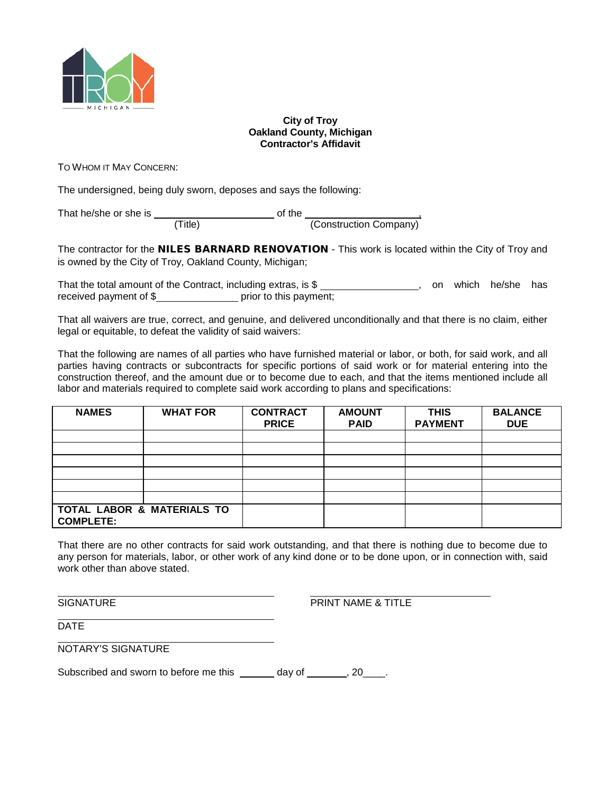

#### **City of Troy Oakland County, Michigan Contractor's Affidavit**

TO WHOM IT MAY CONCERN:

The undersigned, being duly sworn, deposes and says the following:

That he/she or she is \_\_\_\_\_\_\_\_\_\_\_\_\_\_\_\_\_\_\_\_\_\_\_\_\_ of the \_\_\_\_\_\_\_\_\_\_\_\_\_\_\_\_\_\_\_\_\_\_\_\_, (Title) (Construction Company)

The contractor for the **NILES BARNARD RENOVATION** - This work is located within the City of Troy and is owned by the City of Troy, Oakland County, Michigan;

That the total amount of the Contract, including extras, is \$ , on which he/she has received payment of \$

That all waivers are true, correct, and genuine, and delivered unconditionally and that there is no claim, either legal or equitable, to defeat the validity of said waivers:

That the following are names of all parties who have furnished material or labor, or both, for said work, and all parties having contracts or subcontracts for specific portions of said work or for material entering into the construction thereof, and the amount due or to become due to each, and that the items mentioned include all labor and materials required to complete said work according to plans and specifications:

| <b>NAMES</b>                                   | <b>WHAT FOR</b> | <b>CONTRACT</b><br><b>PRICE</b> | <b>AMOUNT</b><br><b>PAID</b> | <b>THIS</b><br><b>PAYMENT</b> | <b>BALANCE</b><br><b>DUE</b> |
|------------------------------------------------|-----------------|---------------------------------|------------------------------|-------------------------------|------------------------------|
|                                                |                 |                                 |                              |                               |                              |
|                                                |                 |                                 |                              |                               |                              |
|                                                |                 |                                 |                              |                               |                              |
|                                                |                 |                                 |                              |                               |                              |
|                                                |                 |                                 |                              |                               |                              |
|                                                |                 |                                 |                              |                               |                              |
| TOTAL LABOR & MATERIALS TO<br><b>COMPLETE:</b> |                 |                                 |                              |                               |                              |

That there are no other contracts for said work outstanding, and that there is nothing due to become due to any person for materials, labor, or other work of any kind done or to be done upon, or in connection with, said work other than above stated.

SIGNATURE **EXECUTE 12 IN THE SIGNATURE A** TITLE

**DATE** 

NOTARY'S SIGNATURE

Subscribed and sworn to before me this  $\_\_\_\_$  day of  $\_\_\_\_$ , 20 $\_\_\_\_\$ .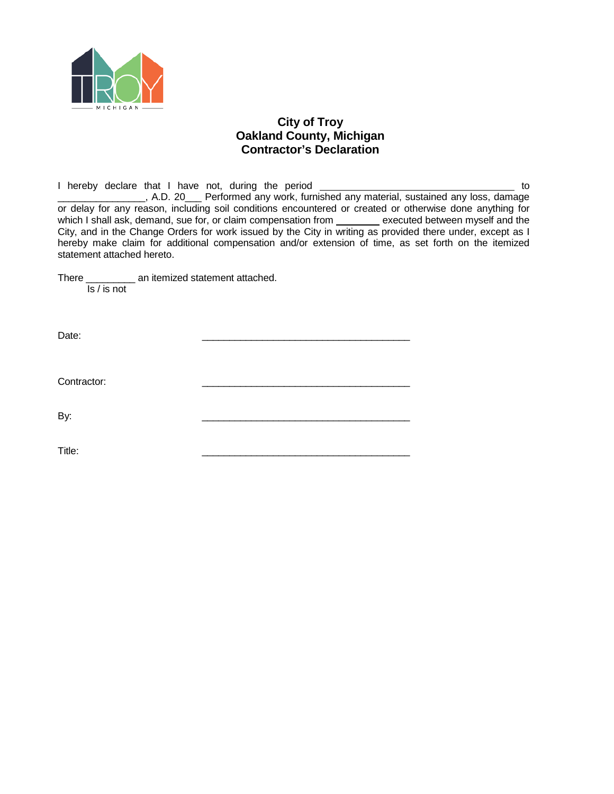

## **City of Troy Oakland County, Michigan Contractor's Declaration**

I hereby declare that I have not, during the period \_\_\_\_\_\_\_\_\_\_\_\_\_\_\_\_\_\_\_\_\_\_\_\_\_\_\_\_\_\_\_\_\_\_\_ to \_\_\_\_\_\_\_\_\_\_\_\_\_\_\_\_, A.D. 20\_\_\_ Performed any work, furnished any material, sustained any loss, damage or delay for any reason, including soil conditions encountered or created or otherwise done anything for which I shall ask, demand, sue for, or claim compensation from \_\_\_\_\_\_\_\_ executed between myself and the City, and in the Change Orders for work issued by the City in writing as provided there under, except as I hereby make claim for additional compensation and/or extension of time, as set forth on the itemized statement attached hereto.

There \_\_\_\_\_\_\_\_\_ an itemized statement attached. Is / is not

Date: \_\_\_\_\_\_\_\_\_\_\_\_\_\_\_\_\_\_\_\_\_\_\_\_\_\_\_\_\_\_\_\_\_\_\_\_\_\_

Contractor:

By: \_\_\_\_\_\_\_\_\_\_\_\_\_\_\_\_\_\_\_\_\_\_\_\_\_\_\_\_\_\_\_\_\_\_\_\_\_\_

Title: \_\_\_\_\_\_\_\_\_\_\_\_\_\_\_\_\_\_\_\_\_\_\_\_\_\_\_\_\_\_\_\_\_\_\_\_\_\_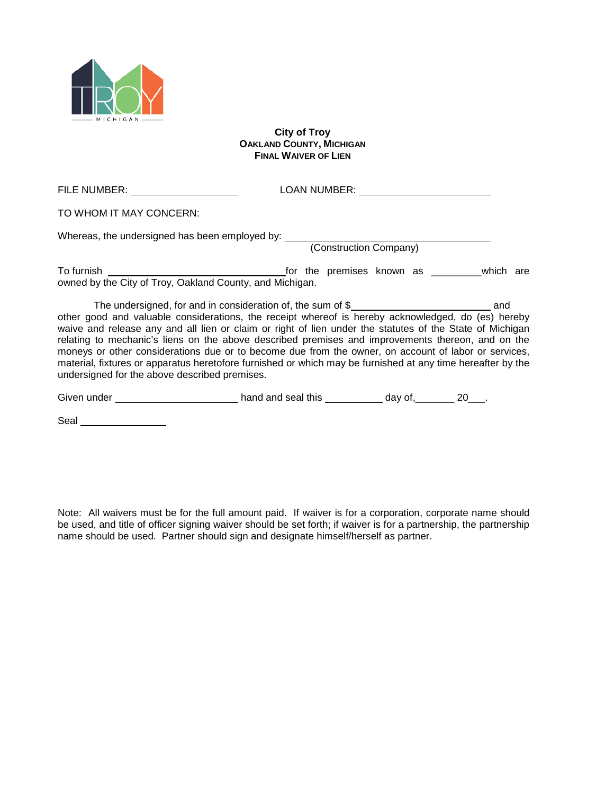

Seal section of the second section of the second section of the second section of the second section of the second second section of the second section of the second section of the second section of the second section of t

#### **City of Troy OAKLAND COUNTY, MICHIGAN FINAL WAIVER OF LIEN**

| FILE NUMBER: _______________________                                                                                                                                                                                                                                                                                                                                                                                                                                                                                                                                                        | LOAN NUMBER: The contract of the contract of the contract of the contract of the contract of the contract of the contract of the contract of the contract of the contract of the contract of the contract of the contract of t |  |
|---------------------------------------------------------------------------------------------------------------------------------------------------------------------------------------------------------------------------------------------------------------------------------------------------------------------------------------------------------------------------------------------------------------------------------------------------------------------------------------------------------------------------------------------------------------------------------------------|--------------------------------------------------------------------------------------------------------------------------------------------------------------------------------------------------------------------------------|--|
| TO WHOM IT MAY CONCERN:                                                                                                                                                                                                                                                                                                                                                                                                                                                                                                                                                                     |                                                                                                                                                                                                                                |  |
| Whereas, the undersigned has been employed by: __________________________________<br>(Construction Company)                                                                                                                                                                                                                                                                                                                                                                                                                                                                                 |                                                                                                                                                                                                                                |  |
| owned by the City of Troy, Oakland County, and Michigan.                                                                                                                                                                                                                                                                                                                                                                                                                                                                                                                                    |                                                                                                                                                                                                                                |  |
| other good and valuable considerations, the receipt whereof is hereby acknowledged, do (es) hereby<br>waive and release any and all lien or claim or right of lien under the statutes of the State of Michigan<br>relating to mechanic's liens on the above described premises and improvements thereon, and on the<br>moneys or other considerations due or to become due from the owner, on account of labor or services,<br>material, fixtures or apparatus heretofore furnished or which may be furnished at any time hereafter by the<br>undersigned for the above described premises. |                                                                                                                                                                                                                                |  |
|                                                                                                                                                                                                                                                                                                                                                                                                                                                                                                                                                                                             |                                                                                                                                                                                                                                |  |

Note: All waivers must be for the full amount paid. If waiver is for a corporation, corporate name should be used, and title of officer signing waiver should be set forth; if waiver is for a partnership, the partnership name should be used. Partner should sign and designate himself/herself as partner.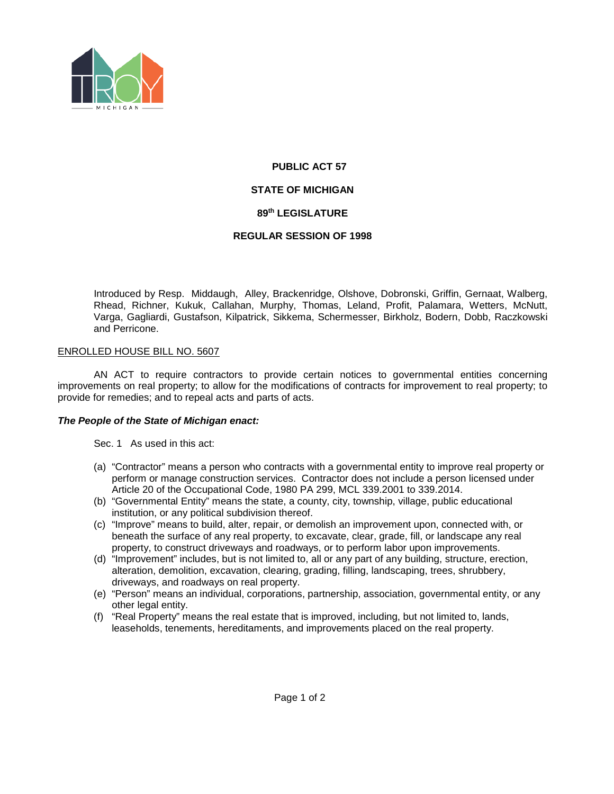

# **PUBLIC ACT 57 STATE OF MICHIGAN 89th LEGISLATURE**

#### **REGULAR SESSION OF 1998**

Introduced by Resp. Middaugh, Alley, Brackenridge, Olshove, Dobronski, Griffin, Gernaat, Walberg, Rhead, Richner, Kukuk, Callahan, Murphy, Thomas, Leland, Profit, Palamara, Wetters, McNutt, Varga, Gagliardi, Gustafson, Kilpatrick, Sikkema, Schermesser, Birkholz, Bodern, Dobb, Raczkowski and Perricone.

#### ENROLLED HOUSE BILL NO. 5607

AN ACT to require contractors to provide certain notices to governmental entities concerning improvements on real property; to allow for the modifications of contracts for improvement to real property; to provide for remedies; and to repeal acts and parts of acts.

#### *The People of the State of Michigan enact:*

Sec. 1 As used in this act:

- (a) "Contractor" means a person who contracts with a governmental entity to improve real property or perform or manage construction services. Contractor does not include a person licensed under Article 20 of the Occupational Code, 1980 PA 299, MCL 339.2001 to 339.2014.
- (b) "Governmental Entity" means the state, a county, city, township, village, public educational institution, or any political subdivision thereof.
- (c) "Improve" means to build, alter, repair, or demolish an improvement upon, connected with, or beneath the surface of any real property, to excavate, clear, grade, fill, or landscape any real property, to construct driveways and roadways, or to perform labor upon improvements.
- (d) "Improvement" includes, but is not limited to, all or any part of any building, structure, erection, alteration, demolition, excavation, clearing, grading, filling, landscaping, trees, shrubbery, driveways, and roadways on real property.
- (e) "Person" means an individual, corporations, partnership, association, governmental entity, or any other legal entity.
- (f) "Real Property" means the real estate that is improved, including, but not limited to, lands, leaseholds, tenements, hereditaments, and improvements placed on the real property.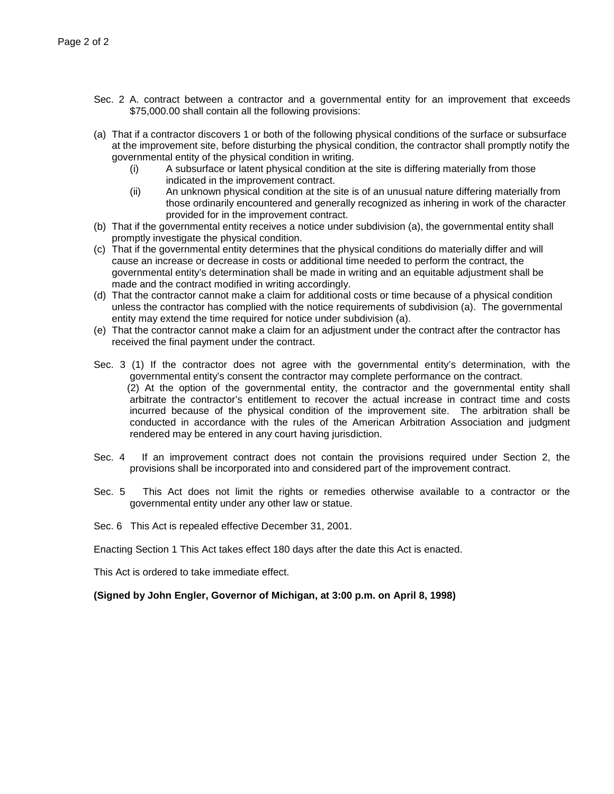- Sec. 2 A. contract between a contractor and a governmental entity for an improvement that exceeds \$75,000.00 shall contain all the following provisions:
- (a) That if a contractor discovers 1 or both of the following physical conditions of the surface or subsurface at the improvement site, before disturbing the physical condition, the contractor shall promptly notify the governmental entity of the physical condition in writing.
	- (i) A subsurface or latent physical condition at the site is differing materially from those indicated in the improvement contract.
	- (ii) An unknown physical condition at the site is of an unusual nature differing materially from those ordinarily encountered and generally recognized as inhering in work of the character provided for in the improvement contract.
- (b) That if the governmental entity receives a notice under subdivision (a), the governmental entity shall promptly investigate the physical condition.
- (c) That if the governmental entity determines that the physical conditions do materially differ and will cause an increase or decrease in costs or additional time needed to perform the contract, the governmental entity's determination shall be made in writing and an equitable adjustment shall be made and the contract modified in writing accordingly.
- (d) That the contractor cannot make a claim for additional costs or time because of a physical condition unless the contractor has complied with the notice requirements of subdivision (a). The governmental entity may extend the time required for notice under subdivision (a).
- (e) That the contractor cannot make a claim for an adjustment under the contract after the contractor has received the final payment under the contract.
- Sec. 3 (1) If the contractor does not agree with the governmental entity's determination, with the governmental entity's consent the contractor may complete performance on the contract. (2) At the option of the governmental entity, the contractor and the governmental entity shall arbitrate the contractor's entitlement to recover the actual increase in contract time and costs incurred because of the physical condition of the improvement site. The arbitration shall be conducted in accordance with the rules of the American Arbitration Association and judgment rendered may be entered in any court having jurisdiction.
- Sec. 4 If an improvement contract does not contain the provisions required under Section 2, the provisions shall be incorporated into and considered part of the improvement contract.
- Sec. 5 This Act does not limit the rights or remedies otherwise available to a contractor or the governmental entity under any other law or statue.
- Sec. 6 This Act is repealed effective December 31, 2001.

Enacting Section 1 This Act takes effect 180 days after the date this Act is enacted.

This Act is ordered to take immediate effect.

**(Signed by John Engler, Governor of Michigan, at 3:00 p.m. on April 8, 1998)**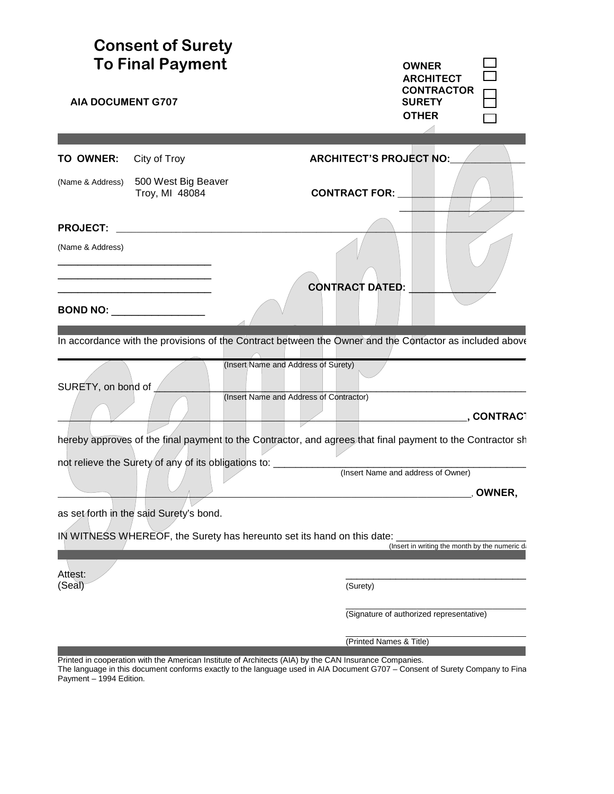| <b>AIA DOCUMENT G707</b>            | <b>Consent of Surety</b><br><b>To Final Payment</b>  | <b>OWNER</b><br><b>ARCHITECT</b><br><b>CONTRACTOR</b><br><b>SURETY</b><br><b>OTHER</b>                                    |
|-------------------------------------|------------------------------------------------------|---------------------------------------------------------------------------------------------------------------------------|
| TO OWNER:                           | City of Troy                                         | <b>ARCHITECT'S PROJECT NO:</b>                                                                                            |
| (Name & Address)                    | 500 West Big Beaver<br>Troy, MI 48084                | <b>CONTRACT FOR:</b>                                                                                                      |
| <b>PROJECT:</b><br>(Name & Address) |                                                      |                                                                                                                           |
|                                     | <b>BOND NO: ___________________</b>                  | <b>CONTRACT DATED:</b>                                                                                                    |
|                                     |                                                      | In accordance with the provisions of the Contract between the Owner and the Contactor as included above                   |
| SURETY, on bond of                  |                                                      | (Insert Name and Address of Surety)                                                                                       |
|                                     |                                                      | (Insert Name and Address of Contractor)                                                                                   |
|                                     |                                                      | ., CONTRACT<br>hereby approves of the final payment to the Contractor, and agrees that final payment to the Contractor sh |
|                                     | not relieve the Surety of any of its obligations to: |                                                                                                                           |
|                                     |                                                      | (Insert Name and address of Owner)                                                                                        |
|                                     | as set forth in the said Surety's bond.              | OWNER,                                                                                                                    |
|                                     |                                                      | IN WITNESS WHEREOF, the Surety has hereunto set its hand on this date:                                                    |
|                                     |                                                      | (Insert in writing the month by the numeric di                                                                            |
| Attest:<br>(Seal)                   |                                                      | (Surety)                                                                                                                  |
|                                     |                                                      | (Signature of authorized representative)                                                                                  |
|                                     |                                                      | (Printed Names & Title)                                                                                                   |

Printed in cooperation with the American Institute of Architects (AIA) by the CAN Insurance Companies. The language in this document conforms exactly to the language used in AIA Document G707 – Consent of Surety Company to Fina

Payment – 1994 Edition.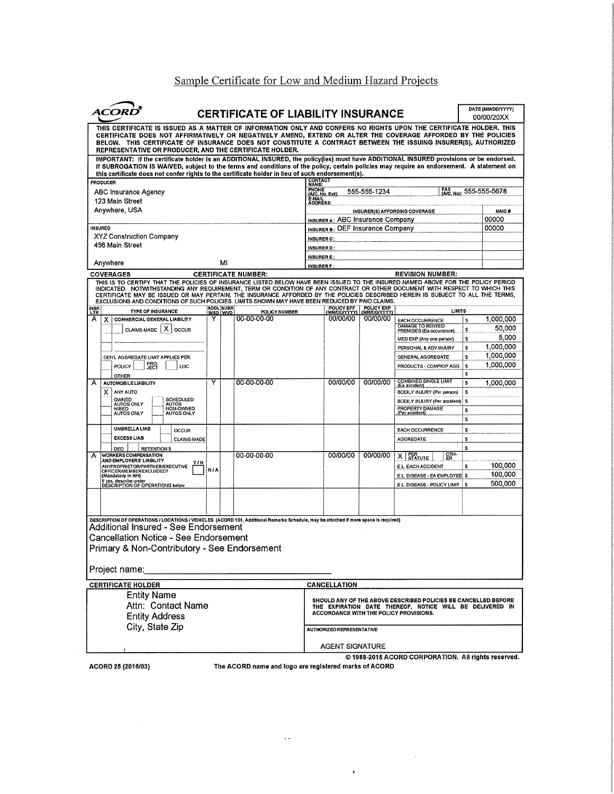# Sample Certificate for Low and Medium Hazard Projects

| ACOR                                                                                                                                                                                                                                                                                                                                                                                                                                                                                                                                                       |                       | <b>CERTIFICATE OF LIABILITY INSURANCE</b> |                                                                      |                            |                                                                                                                            | DATE (MM/DD/YYYY)<br>00/00/20XX |
|------------------------------------------------------------------------------------------------------------------------------------------------------------------------------------------------------------------------------------------------------------------------------------------------------------------------------------------------------------------------------------------------------------------------------------------------------------------------------------------------------------------------------------------------------------|-----------------------|-------------------------------------------|----------------------------------------------------------------------|----------------------------|----------------------------------------------------------------------------------------------------------------------------|---------------------------------|
| THIS CERTIFICATE IS ISSUED AS A MATTER OF INFORMATION ONLY AND CONFERS NO RIGHTS UPON THE CERTIFICATE HOLDER. THIS<br>CERTIFICATE DOES NOT AFFIRMATIVELY OR NEGATIVELY AMEND, EXTEND OR ALTER THE COVERAGE AFFORDED BY THE POLICIES<br>BELOW. THIS CERTIFICATE OF INSURANCE DOES NOT CONSTITUTE A CONTRACT BETWEEN THE ISSUING INSURER(S), AUTHORIZED<br>REPRESENTATIVE OR PRODUCER, AND THE CERTIFICATE HOLDER.<br>IMPORTANT: If the certificate holder is an ADDITIONAL INSURED, the policy(ies) must have ADDITIONAL INSURED provisions or be endorsed. |                       |                                           |                                                                      |                            |                                                                                                                            |                                 |
| If SUBROGATION IS WAIVED, subject to the terms and conditions of the policy, certain policies may require an endorsement. A statement on<br>this certificate does not confer rights to the certificate holder in lieu of such endorsement(s).                                                                                                                                                                                                                                                                                                              |                       |                                           |                                                                      |                            |                                                                                                                            |                                 |
| <b>PRODUCER</b><br><b>ABC Insurance Agency</b>                                                                                                                                                                                                                                                                                                                                                                                                                                                                                                             |                       |                                           | CONTACT<br>NAME:<br>PHONE<br>(A/C, No, Ext);                         | 555-555-1234               | FAX (A/C, No): 555-555-5678                                                                                                |                                 |
| 123 Main Street<br>Anywhere, USA                                                                                                                                                                                                                                                                                                                                                                                                                                                                                                                           |                       |                                           | E-MAIL<br>ADDRESS:                                                   |                            | INSURER(S) AFFORDING COVERAGE                                                                                              | <b>NAIC#</b>                    |
| <b>INSURED</b>                                                                                                                                                                                                                                                                                                                                                                                                                                                                                                                                             |                       |                                           | INSURER A: ABC Insurance Company<br>INSURER B: DEF Insurance Company |                            |                                                                                                                            | 00000<br>00000                  |
| <b>XYZ Construction Company</b><br>456 Main Street                                                                                                                                                                                                                                                                                                                                                                                                                                                                                                         |                       |                                           | <b>INSURER C:</b><br><b>INSURER D:</b>                               |                            |                                                                                                                            |                                 |
| Anywhere                                                                                                                                                                                                                                                                                                                                                                                                                                                                                                                                                   | м                     |                                           | <b>INSURER E:</b><br><b>INSURER F:</b>                               |                            |                                                                                                                            |                                 |
| <b>COVERAGES</b><br>THIS IS TO CERTIFY THAT THE POLICIES OF INSURANCE LISTED BELOW HAVE BEEN ISSUED TO THE INSURED NAMED ABOVE FOR THE POLICY PERIOD                                                                                                                                                                                                                                                                                                                                                                                                       |                       | <b>CERTIFICATE NUMBER:</b>                |                                                                      |                            | <b>REVISION NUMBER:</b>                                                                                                    |                                 |
| INDICATED. NOTWITHSTANDING ANY REQUIREMENT, TERM OR CONDITION OF ANY CONTRACT OR OTHER DOCUMENT WITH RESPECT TO WHICH THIS<br>CERTIFICATE MAY BE ISSUED OR MAY PERTAIN, THE INSURANCE AFFORDED BY THE POLICIES DESCRIBED HEREIN IS SUBJECT TO ALL THE TERMS,<br>EXCLUSIONS AND CONDITIONS OF SUCH POLICIES, LIMITS SHOWN MAY HAVE BEEN REDUCED BY PAID CLAIMS.                                                                                                                                                                                             |                       |                                           |                                                                      |                            |                                                                                                                            |                                 |
| <b>INSR</b><br>LTR<br><b>TYPE OF INSURANCE</b>                                                                                                                                                                                                                                                                                                                                                                                                                                                                                                             | ADDL SUBR<br>INSD WVD | POLICY NUMBER                             | POLICY EFF<br>(MM/DD/YYYY)                                           | POLICY EXP<br>(MM/DD/YYYY) | <b>LIMITS</b>                                                                                                              |                                 |
| A<br><b>COMMERCIAL GENERAL LIABILITY</b><br>$\mathsf{x}$<br>CLAIMS-MADE   X<br>OCCUR                                                                                                                                                                                                                                                                                                                                                                                                                                                                       |                       | 00-00-00-00                               | 00/00/00                                                             | 00/00/00                   | \$<br>EACH OCCURRENCE<br>DAMAGE TO RENTED<br>PREMISES (Ea occurrence)<br>\$                                                | 1.000,000<br>50,000             |
|                                                                                                                                                                                                                                                                                                                                                                                                                                                                                                                                                            |                       |                                           |                                                                      |                            | \$<br>MED EXP (Any one person)<br>PERSONAL & ADV INJURY<br>S                                                               | 5,000<br>1,000,000              |
| GEN'L AGGREGATE LIMIT APPLIES PER:                                                                                                                                                                                                                                                                                                                                                                                                                                                                                                                         |                       |                                           |                                                                      |                            | \$<br>GENERAL AGGREGATE                                                                                                    | 1,000,000                       |
| PRO-<br>POLICY<br>roc<br>OTHER:                                                                                                                                                                                                                                                                                                                                                                                                                                                                                                                            |                       |                                           |                                                                      |                            | PRODUCTS - COMPJOP AGG<br>Ś<br>\$                                                                                          | 1,000,000                       |
| А<br><b>AUTOMOBILE LIABILITY</b><br>χI<br>ANY AUTO                                                                                                                                                                                                                                                                                                                                                                                                                                                                                                         | Y                     | $00 - 00 - 00 - 00$                       | 00/00/00                                                             | 00/00/00                   | <b>COMBINED SINGLE LIMIT</b><br>s<br>(Ea accident)<br>s<br>BODILY INJURY (Per person)                                      | 1,000,000                       |
| OWNED<br><b>SCHEDULED</b><br><b>AUTOS ONLY</b><br><b>AUTOS</b>                                                                                                                                                                                                                                                                                                                                                                                                                                                                                             |                       |                                           |                                                                      |                            | BODILY INJURY (Per accident)<br>s                                                                                          |                                 |
| NON-OWNED<br>HIRED<br>AUTOS ONLY<br><b>AUTOS ONLY</b>                                                                                                                                                                                                                                                                                                                                                                                                                                                                                                      |                       |                                           |                                                                      |                            | PROPERTY DAMAGE<br>s<br>(Per accident)<br>s                                                                                |                                 |
| <b>UMBRELLA LIAB</b><br><b>OCCUR</b><br><b>EXCESS LIAB</b>                                                                                                                                                                                                                                                                                                                                                                                                                                                                                                 |                       |                                           |                                                                      |                            | EACH OCCURRENCE<br>s                                                                                                       |                                 |
| CLAIMS-MADE<br>DED<br><b>RETENTIONS</b>                                                                                                                                                                                                                                                                                                                                                                                                                                                                                                                    |                       |                                           |                                                                      |                            | <b>AGGREGATE</b><br>\$<br>Ś                                                                                                |                                 |
| <b>WORKERS COMPENSATION</b><br>A<br>AND EMPLOYERS' LIABILITY<br>Y I N                                                                                                                                                                                                                                                                                                                                                                                                                                                                                      |                       | 00-00-00-00                               | 00/00/00                                                             | 00/00/00                   | ੂਰਜ਼-<br>ਛੁਸ<br>X STATUTE                                                                                                  |                                 |
| <b>ANYPROPRIETOR/PARTNER/EXECUTIVE</b><br>OFFICER/MEMBER EXCLUDED?<br>(Mandatory in NH)                                                                                                                                                                                                                                                                                                                                                                                                                                                                    | N/A                   |                                           |                                                                      |                            | E.L. EACH ACCIDENT<br>\$<br>E.L. DISEASE - EA EMPLOYEE S                                                                   | 100,000<br>100,000              |
| If yes, describe under<br>DESCRIPTION OF OPERATIONS below                                                                                                                                                                                                                                                                                                                                                                                                                                                                                                  |                       |                                           |                                                                      |                            | EL DISEASE - POLICY LIMIT<br>s                                                                                             | 500,000                         |
|                                                                                                                                                                                                                                                                                                                                                                                                                                                                                                                                                            |                       |                                           |                                                                      |                            |                                                                                                                            |                                 |
| DESCRIPTION OF OPERATIONS / LOCATIONS / VEHICLES (ACORD 101, Additional Remarks Schedule, may be attached if more space is required)                                                                                                                                                                                                                                                                                                                                                                                                                       |                       |                                           |                                                                      |                            |                                                                                                                            |                                 |
| Additional Insured - See Endorsement                                                                                                                                                                                                                                                                                                                                                                                                                                                                                                                       |                       |                                           |                                                                      |                            |                                                                                                                            |                                 |
| <b>Cancellation Notice - See Endorsement</b>                                                                                                                                                                                                                                                                                                                                                                                                                                                                                                               |                       |                                           |                                                                      |                            |                                                                                                                            |                                 |
| Primary & Non-Contributory - See Endorsement                                                                                                                                                                                                                                                                                                                                                                                                                                                                                                               |                       |                                           |                                                                      |                            |                                                                                                                            |                                 |
| Project name:                                                                                                                                                                                                                                                                                                                                                                                                                                                                                                                                              |                       |                                           |                                                                      |                            |                                                                                                                            |                                 |
| <b>CERTIFICATE HOLDER</b>                                                                                                                                                                                                                                                                                                                                                                                                                                                                                                                                  |                       |                                           | CANCELLATION                                                         |                            |                                                                                                                            |                                 |
| <b>Entity Name</b><br>Attn: Contact Name<br><b>Entity Address</b>                                                                                                                                                                                                                                                                                                                                                                                                                                                                                          |                       |                                           | ACCORDANCE WITH THE POLICY PROVISIONS.                               |                            | SHOULD ANY OF THE ABOVE DESCRIBED POLICIES BE CANCELLED BEFORE<br>THE EXPIRATION DATE THEREOF, NOTICE WILL BE DELIVERED IN |                                 |
| City, State Zip                                                                                                                                                                                                                                                                                                                                                                                                                                                                                                                                            |                       |                                           | AUTHORIZED REPRESENTATIVE                                            |                            |                                                                                                                            |                                 |
|                                                                                                                                                                                                                                                                                                                                                                                                                                                                                                                                                            |                       |                                           | <b>AGENT SIGNATURE</b>                                               |                            |                                                                                                                            |                                 |
|                                                                                                                                                                                                                                                                                                                                                                                                                                                                                                                                                            |                       |                                           |                                                                      |                            | © 1988-2015 ACORD CORPORATION. All rights reserved.                                                                        |                                 |

ACORD 25 (2016/03)

The ACORD name and logo are registered marks of ACORD

 $\mathcal{L}_{\mathcal{B}}$  .

 $\label{eq:2} \frac{1}{\sqrt{2}}\int_{\mathbb{R}^3}\frac{1}{\sqrt{2}}\left(\frac{1}{\sqrt{2}}\right)^2\frac{dx}{dx}$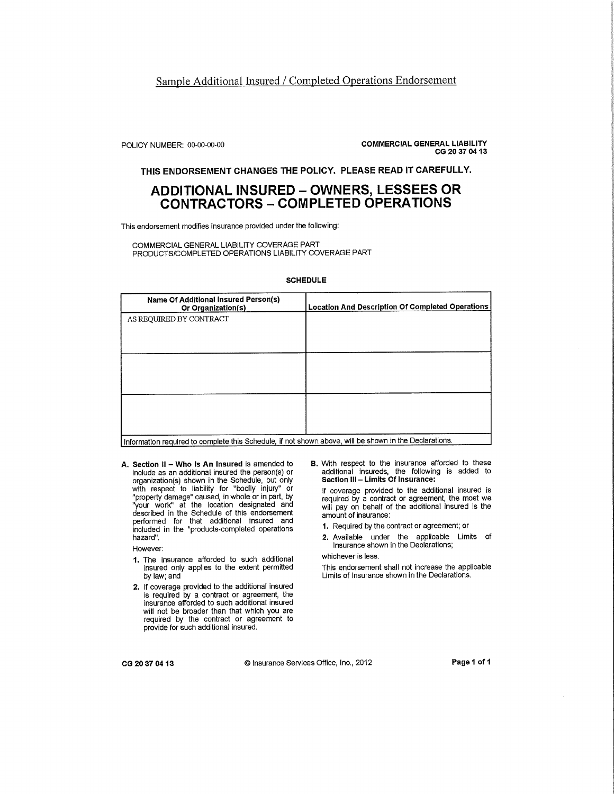#### Sample Additional Insured / Completed Operations Endorsement

POLICY NUMBER: 00-00-00-00

**COMMERCIAL GENERAL LIABILITY** CG 20 37 04 13

THIS ENDORSEMENT CHANGES THE POLICY. PLEASE READ IT CAREFULLY.

## **ADDITIONAL INSURED - OWNERS, LESSEES OR CONTRACTORS - COMPLETED OPERATIONS**

This endorsement modifies insurance provided under the following:

COMMERCIAL GENERAL LIABILITY COVERAGE PART PRODUCTS/COMPLETED OPERATIONS LIABILITY COVERAGE PART

#### **SCHEDULE**

| Name Of Additional Insured Person(s)<br>Or Organization(s)                                             | <b>Location And Description Of Completed Operations</b> |  |
|--------------------------------------------------------------------------------------------------------|---------------------------------------------------------|--|
| AS REQUIRED BY CONTRACT                                                                                |                                                         |  |
|                                                                                                        |                                                         |  |
|                                                                                                        |                                                         |  |
|                                                                                                        |                                                         |  |
|                                                                                                        |                                                         |  |
|                                                                                                        |                                                         |  |
|                                                                                                        |                                                         |  |
|                                                                                                        |                                                         |  |
| Information required to complete this Schedule, if not shown above, will be shown in the Declarations. |                                                         |  |

A. Section II - Who Is An Insured is amended to include as an additional insured the person(s) or organization(s) shown in the Schedule, but only with respect to liability for "bodily injury" or<br>"property damage" caused, in whole or in part, by<br>"brown world" of the location distance in part, by "your work" at the location designated and<br>described in the Schedule of this endorsement performed for that additional insured and included in the "products-completed operations hazard".

However:

- 1. The insurance afforded to such additional insured only applies to the extent permitted by law; and
- 2. If coverage provided to the additional insured is required by a contract or agreement, the insurance afforded to such additional insured will not be broader than that which you are required by the contract or agreement to provide for such additional insured.

B. With respect to the insurance afforded to these additional insureds, the following is added to Section III – Limits Of Insurance:

If coverage provided to the additional insured is required by a contract or agreement, the most we will pay on behalf of the additional insured is the amount of insurance:

- 1. Required by the contract or agreement; or
- 2. Available under the applicable Limits of Insurance shown in the Declarations;

whichever is less.

This endorsement shall not increase the applicable Limits of Insurance shown in the Declarations.

CG 20 37 04 13

© Insurance Services Office, Inc., 2012

Page 1 of 1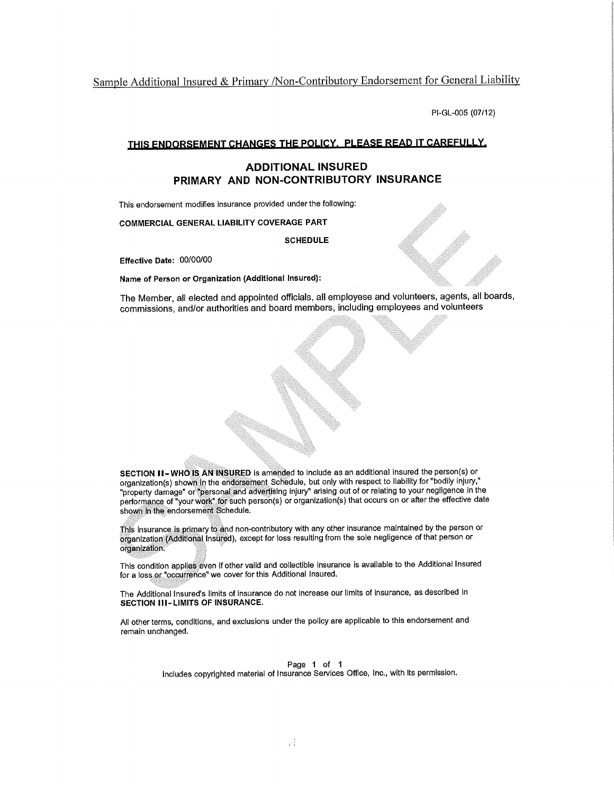Sample Additional Insured & Primary /Non-Contributory Endorsement for General Liability

PI-GL-005 (07/12)

#### THIS ENDORSEMENT CHANGES THE POLICY. PLEASE READ IT CAREFULLY.

#### **ADDITIONAL INSURED** PRIMARY AND NON-CONTRIBUTORY INSURANCE

This endorsement modifies insurance provided under the following:

**COMMERCIAL GENERAL LIABILITY COVERAGE PART** 

**SCHEDULE** 

Effective Date: 00/00/00

Name of Person or Organization (Additional Insured):

The Member, all elected and appointed officials, all employese and volunteers, agents, all boards, commissions, and/or authorities and board members, including employees and volunteers

SECTION II-WHO IS AN INSURED is amended to include as an additional insured the person(s) or organization(s) shown in the endorsement Schedule, but only with respect to liability for "bodily injury," "property damage" or "personal and advertising injury" arising out of or relating to your negligence in the performance of "your work" for such person(s) or organization(s) that occurs on or after the effective date shown in the endorsement Schedule.

This insurance is primary to and non-contributory with any other insurance maintained by the person or organization (Additional Insured), except for loss resulting from the sole negligence of that person or organization.

This condition applies even if other valid and collectible insurance is available to the Additional Insured for a loss or "occurrence" we cover for this Additional Insured.

The Additional Insured's limits of insurance do not increase our limits of insurance, as described in **SECTION III-LIMITS OF INSURANCE.** 

All other terms, conditions, and exclusions under the policy are applicable to this endorsement and remain unchanged.

Page 1 of 1

Includes copyrighted material of Insurance Services Office, Inc., with its permission.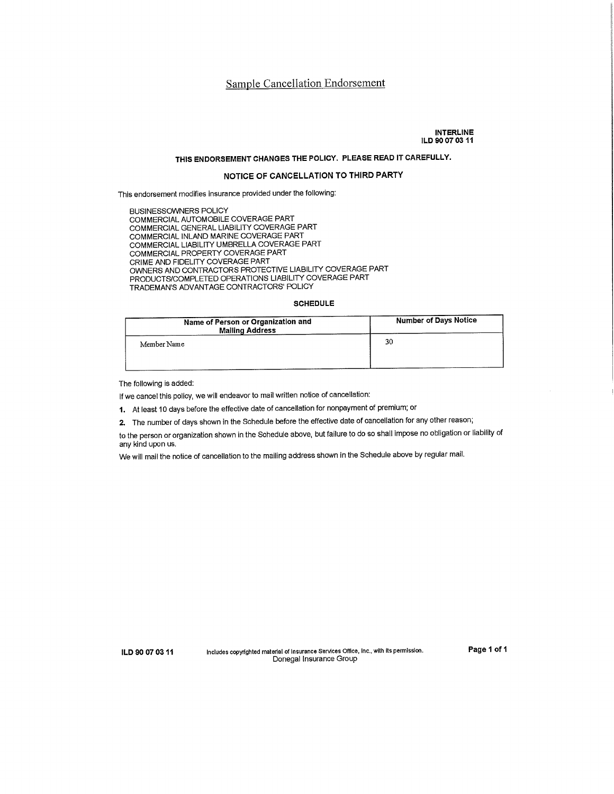#### Sample Cancellation Endorsement

#### **INTERLINE** ILD 90 07 03 11

## THIS ENDORSEMENT CHANGES THE POLICY. PLEASE READ IT CAREFULLY.

#### NOTICE OF CANCELLATION TO THIRD PARTY

This endorsement modifies insurance provided under the following:

**BUSINESSOWNERS POLICY** COMMERCIAL AUTOMOBILE COVERAGE PART COMMERCIAL GENERAL LIABILITY COVERAGE PART COMMERCIAL INLAND MARINE COVERAGE PART COMMERCIAL LIABILITY UMBRELLA COVERAGE PART COMMERCIAL PROPERTY COVERAGE PART CRIME AND FIDELITY COVERAGE PART OWNERS AND CONTRACTORS PROTECTIVE LIABILITY COVERAGE PART PRODUCTS/COMPLETED OPERATIONS LIABILITY COVERAGE PART TRADEMAN'S ADVANTAGE CONTRACTORS' POLICY

#### **SCHEDULE**

| Name of Person or Organization and<br><b>Mailing Address</b> | <b>Number of Days Notice</b> |
|--------------------------------------------------------------|------------------------------|
| Member Name                                                  | 30                           |
|                                                              |                              |

The following is added:

If we cancel this policy, we will endeavor to mail written notice of cancellation:

1. At least 10 days before the effective date of cancellation for nonpayment of premium; or

2. The number of days shown in the Schedule before the effective date of cancellation for any other reason;

to the person or organization shown in the Schedule above, but failure to do so shall impose no obligation or liability of any kind upon us.

We will mail the notice of cancellation to the mailing address shown in the Schedule above by regular mail.

ILD 90 07 03 11

Includes copyrighted material of Insurance Services Office, Inc., with its permission. Donegal Insurance Group

Page 1 of 1